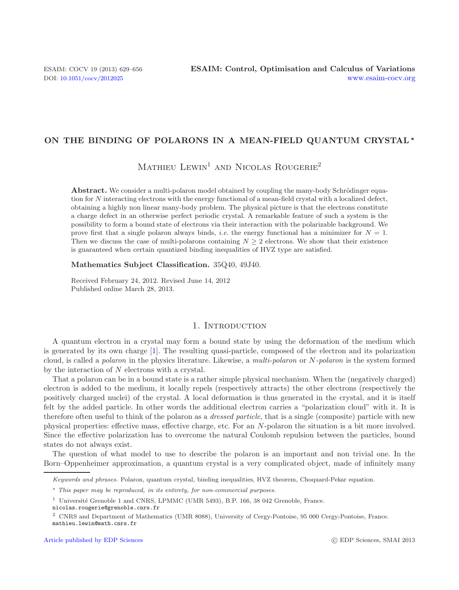# **ON THE BINDING OF POLARONS IN A MEAN-FIELD QUANTUM CRYSTAL** *∗*

MATHIEU  $L$ EWIN<sup>1</sup> AND NICOLAS ROUGERIE<sup>2</sup>

**Abstract.** We consider a multi-polaron model obtained by coupling the many-body Schrödinger equation for *N* interacting electrons with the energy functional of a mean-field crystal with a localized defect, obtaining a highly non linear many-body problem. The physical picture is that the electrons constitute a charge defect in an otherwise perfect periodic crystal. A remarkable feature of such a system is the possibility to form a bound state of electrons via their interaction with the polarizable background. We prove first that a single polaron always binds, *i.e.* the energy functional has a minimizer for  $N = 1$ . Then we discuss the case of multi-polarons containing  $N \geq 2$  electrons. We show that their existence is guaranteed when certain quantized binding inequalities of HVZ type are satisfied.

**Mathematics Subject Classification.** 35Q40, 49J40.

Received February 24, 2012. Revised June 14, 2012 Published online March 28, 2013.

## 1. INTRODUCTION

A quantum electron in a crystal may form a bound state by using the deformation of the medium which is generated by its own charge [\[1](#page-26-0)]. The resulting quasi-particle, composed of the electron and its polarization cloud, is called a *polaron* in the physics literature. Likewise, a *multi-polaron* or N*-polaron* is the system formed by the interaction of N electrons with a crystal.

That a polaron can be in a bound state is a rather simple physical mechanism. When the (negatively charged) electron is added to the medium, it locally repels (respectively attracts) the other electrons (respectively the positively charged nuclei) of the crystal. A local deformation is thus generated in the crystal, and it is itself felt by the added particle. In other words the additional electron carries a "polarization cloud" with it. It is therefore often useful to think of the polaron as a *dressed particle*, that is a single (composite) particle with new physical properties: effective mass, effective charge, etc. For an N-polaron the situation is a bit more involved. Since the effective polarization has to overcome the natural Coulomb repulsion between the particles, bound states do not always exist.

The question of what model to use to describe the polaron is an important and non trivial one. In the Born–Oppenheimer approximation, a quantum crystal is a very complicated object, made of infinitely many

*Keywords and phrases.* Polaron, quantum crystal, binding inequalities, HVZ theorem, Choquard-Pekar equation.

<sup>∗</sup> *This paper may be reproduced, in its entirety, for non-commercial purposes.*

 $^1$ Université Grenoble 1 and CNRS, LPMMC (UMR 5493), B.P. 166, 38 042 Grenoble, France. nicolas.rougerie@grenoble.cnrs.fr

<sup>&</sup>lt;sup>2</sup> CNRS and Department of Mathematics (UMR 8088), University of Cergy-Pontoise, 95 000 Cergy-Pontoise, France.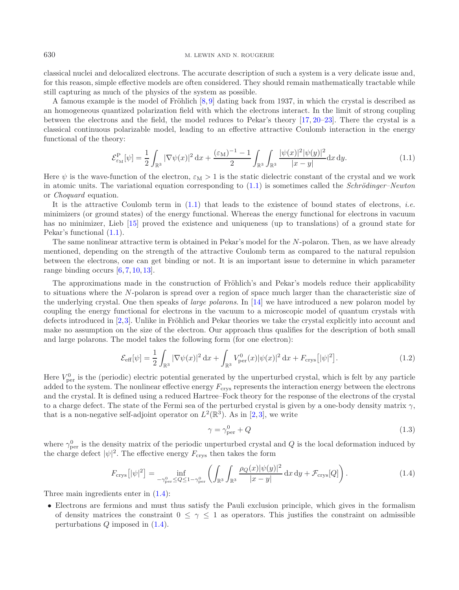<span id="page-1-0"></span>classical nuclei and delocalized electrons. The accurate description of such a system is a very delicate issue and, for this reason, simple effective models are often considered. They should remain mathematically tractable while still capturing as much of the physics of the system as possible.

A famous example is the model of Fröhlich  $[8, 9]$  $[8, 9]$  $[8, 9]$  dating back from 1937, in which the crystal is described as an homogeneous quantized polarization field with which the electrons interact. In the limit of strong coupling between the electrons and the field, the model reduces to Pekar's theory [\[17](#page-27-2), [20](#page-27-3)[–23\]](#page-27-4). There the crystal is a classical continuous polarizable model, leading to an effective attractive Coulomb interaction in the energy functional of the theory:

<span id="page-1-2"></span>
$$
\mathcal{E}_{\varepsilon_{\rm M}}^{\rm P}[\psi] = \frac{1}{2} \int_{\mathbb{R}^3} |\nabla \psi(x)|^2 \, \mathrm{d}x + \frac{(\varepsilon_{\rm M})^{-1} - 1}{2} \int_{\mathbb{R}^3} \int_{\mathbb{R}^3} \frac{|\psi(x)|^2 |\psi(y)|^2}{|x - y|} \mathrm{d}x \, \mathrm{d}y. \tag{1.1}
$$

Here  $\psi$  is the wave-function of the electron,  $\varepsilon_M > 1$  is the static dielectric constant of the crystal and we work in atomic units. The variational equation corresponding to [\(1.1\)](#page-1-0) is sometimes called the *Schrödinger–Newton* or *Choquard* equation.

It is the attractive Coulomb term in [\(1.1\)](#page-1-0) that leads to the existence of bound states of electrons, *i.e.* minimizers (or ground states) of the energy functional. Whereas the energy functional for electrons in vacuum has no minimizer, Lieb [\[15](#page-27-5)] proved the existence and uniqueness (up to translations) of a ground state for Pekar's functional [\(1.1\)](#page-1-0).

The same nonlinear attractive term is obtained in Pekar's model for the N-polaron. Then, as we have already mentioned, depending on the strength of the attractive Coulomb term as compared to the natural repulsion between the electrons, one can get binding or not. It is an important issue to determine in which parameter range binding occurs [\[6](#page-27-6), [7,](#page-27-7) [10,](#page-27-8) [13\]](#page-27-9).

The approximations made in the construction of Fröhlich's and Pekar's models reduce their applicability to situations where the N-polaron is spread over a region of space much larger than the characteristic size of the underlying crystal. One then speaks of *large polarons*. In [\[14](#page-27-10)] we have introduced a new polaron model by coupling the energy functional for electrons in the vacuum to a microscopic model of quantum crystals with defects introduced in [\[2,](#page-26-1)[3\]](#page-27-11). Unlike in Fröhlich and Pekar theories we take the crystal explicitly into account and make no assumption on the size of the electron. Our approach thus qualifies for the description of both small and large polarons. The model takes the following form (for one electron):

$$
\mathcal{E}_{\text{eff}}[\psi] = \frac{1}{2} \int_{\mathbb{R}^3} |\nabla \psi(x)|^2 \, dx + \int_{\mathbb{R}^3} V_{\text{per}}^0(x) |\psi(x)|^2 \, dx + F_{\text{crys}}[|\psi|^2]. \tag{1.2}
$$

Here  $V_{\text{per}}^0$  is the (periodic) electric potential generated by the unperturbed crystal, which is felt by any particle<br>added to the system. The poplinear effective energy  $F_{\text{per}}$  represents the interaction energy bet added to the system. The nonlinear effective energy  $F_{\text{crys}}$  represents the interaction energy between the electrons and the crystal. It is defined using a reduced Hartree–Fock theory for the response of the electrons of the crystal to a charge defect. The state of the Fermi sea of the perturbed crystal is given by a one-body density matrix  $\gamma$ , that is a non-negative self-adjoint operator on  $L^2(\mathbb{R}^3)$ . As in [\[2,](#page-26-1)[3\]](#page-27-11), we write

<span id="page-1-1"></span>
$$
\gamma = \gamma_{\text{per}}^0 + Q \tag{1.3}
$$

where  $\gamma_{\text{per}}^0$  is the density matrix of the periodic unperturbed crystal and Q is the local deformation induced by<br>the charge defect  $|y_0|^2$ . The effective energy  $F$  then takes the form the charge defect  $|\psi|^2$ . The effective energy  $F_{\text{crys}}$  then takes the form

$$
F_{\text{crys}}\left[|\psi|^2\right] = \inf_{-\gamma_{\text{per}}^0 \le Q \le 1 - \gamma_{\text{per}}^0} \left( \int_{\mathbb{R}^3} \int_{\mathbb{R}^3} \frac{\rho_Q(x) |\psi(y)|^2}{|x - y|} \, \mathrm{d}x \, \mathrm{d}y + \mathcal{F}_{\text{crys}}[Q] \right). \tag{1.4}
$$

Three main ingredients enter in  $(1.4)$ :

• Electrons are fermions and must thus satisfy the Pauli exclusion principle, which gives in the formalism of density matrices the constraint  $0 \leq \gamma \leq 1$  as operators. This justifies the constraint on admissible perturbations  $Q$  imposed in  $(1.4)$ .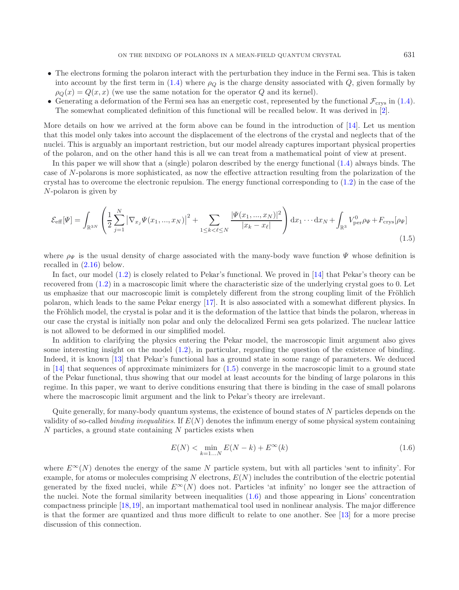- The electrons forming the polaron interact with the perturbation they induce in the Fermi sea. This is taken into account by the first term in [\(1.4\)](#page-1-1) where  $\rho_Q$  is the charge density associated with Q, given formally by  $\rho_O(x) = Q(x, x)$  (we use the same notation for the operator Q and its kernel).
- <span id="page-2-0"></span>• Generating a deformation of the Fermi sea has an energetic cost, represented by the functional  $\mathcal{F}_{\text{crys}}$  in [\(1.4\)](#page-1-1). The somewhat complicated definition of this functional will be recalled below. It was derived in [\[2\]](#page-26-1).

More details on how we arrived at the form above can be found in the introduction of [\[14\]](#page-27-10). Let us mention that this model only takes into account the displacement of the electrons of the crystal and neglects that of the nuclei. This is arguably an important restriction, but our model already captures important physical properties of the polaron, and on the other hand this is all we can treat from a mathematical point of view at present.

In this paper we will show that a (single) polaron described by the energy functional [\(1.4\)](#page-1-1) always binds. The case of N-polarons is more sophisticated, as now the effective attraction resulting from the polarization of the crystal has to overcome the electronic repulsion. The energy functional corresponding to  $(1.2)$  in the case of the N-polaron is given by

$$
\mathcal{E}_{\text{eff}}[\Psi] = \int_{\mathbb{R}^{3N}} \left( \frac{1}{2} \sum_{j=1}^{N} \left| \nabla_{x_j} \Psi(x_1, ..., x_N) \right|^2 + \sum_{1 \le k < \ell \le N} \frac{|\Psi(x_1, ..., x_N)|^2}{|x_k - x_\ell|} \right) dx_1 \cdots dx_N + \int_{\mathbb{R}^3} V_{\text{per}}^0 \rho_\Psi + F_{\text{crys}}[\rho_\Psi] \tag{1.5}
$$

where  $\rho_{\Psi}$  is the usual density of charge associated with the many-body wave function  $\Psi$  whose definition is recalled in [\(2.16\)](#page-5-0) below.

In fact, our model [\(1.2\)](#page-1-2) is closely related to Pekar's functional. We proved in [\[14](#page-27-10)] that Pekar's theory can be recovered from [\(1.2\)](#page-1-2) in a macroscopic limit where the characteristic size of the underlying crystal goes to 0. Let us emphasize that our macroscopic limit is completely different from the strong coupling limit of the Fröhlich polaron, which leads to the same Pekar energy [\[17](#page-27-2)]. It is also associated with a somewhat different physics. In the Fröhlich model, the crystal is polar and it is the deformation of the lattice that binds the polaron, whereas in our case the crystal is initially non polar and only the delocalized Fermi sea gets polarized. The nuclear lattice is not allowed to be deformed in our simplified model.

In addition to clarifying the physics entering the Pekar model, the macroscopic limit argument also gives some interesting insight on the model  $(1.2)$ , in particular, regarding the question of the existence of binding. Indeed, it is known [\[13\]](#page-27-9) that Pekar's functional has a ground state in some range of parameters. We deduced in  $[14]$  $[14]$  that sequences of approximate minimizers for  $(1.5)$  converge in the macroscopic limit to a ground state of the Pekar functional, thus showing that our model at least accounts for the binding of large polarons in this regime. In this paper, we want to derive conditions ensuring that there is binding in the case of small polarons where the macroscopic limit argument and the link to Pekar's theory are irrelevant.

Quite generally, for many-body quantum systems, the existence of bound states of N particles depends on the validity of so-called *binding inequalities*. If E(N) denotes the infimum energy of some physical system containing  $N$  particles, a ground state containing  $N$  particles exists when

<span id="page-2-1"></span>
$$
E(N) < \min_{k=1...N} E(N-k) + E^{\infty}(k) \tag{1.6}
$$

where  $E^{\infty}(N)$  denotes the energy of the same N particle system, but with all particles 'sent to infinity'. For example, for atoms or molecules comprising N electrons,  $E(N)$  includes the contribution of the electric potential generated by the fixed nuclei, while  $E^{\infty}(N)$  does not. Particles 'at infinity' no longer see the attraction of the nuclei. Note the formal similarity between inequalities [\(1.6\)](#page-2-1) and those appearing in Lions' concentration compactness principle [\[18](#page-27-12)[,19](#page-27-13)], an important mathematical tool used in nonlinear analysis. The major difference is that the former are quantized and thus more difficult to relate to one another. See [\[13](#page-27-9)] for a more precise discussion of this connection.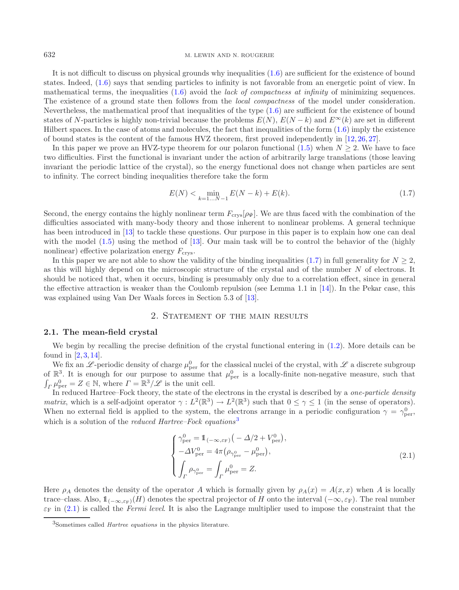It is not difficult to discuss on physical grounds why inequalities [\(1.6\)](#page-2-1) are sufficient for the existence of bound states. Indeed, [\(1.6\)](#page-2-1) says that sending particles to infinity is not favorable from an energetic point of view. In mathematical terms, the inequalities [\(1.6\)](#page-2-1) avoid the *lack of compactness at infinity* of minimizing sequences. The existence of a ground state then follows from the *local compactness* of the model under consideration. Nevertheless, the mathematical proof that inequalities of the type [\(1.6\)](#page-2-1) are sufficient for the existence of bound states of N-particles is highly non-trivial because the problems  $E(N)$ ,  $E(N - k)$  and  $E^{\infty}(k)$  are set in different Hilbert spaces. In the case of atoms and molecules, the fact that inequalities of the form [\(1.6\)](#page-2-1) imply the existence of bound states is the content of the famous HVZ theorem, first proved independently in [\[12](#page-27-14), [26](#page-27-15), [27](#page-27-16)].

In this paper we prove an HVZ-type theorem for our polaron functional  $(1.5)$  when  $N \geq 2$ . We have to face two difficulties. First the functional is invariant under the action of arbitrarily large translations (those leaving invariant the periodic lattice of the crystal), so the energy functional does not change when particles are sent to infinity. The correct binding inequalities therefore take the form

<span id="page-3-0"></span>
$$
E(N) < \min_{k=1...N-1} E(N-k) + E(k). \tag{1.7}
$$

Second, the energy contains the highly nonlinear term  $F_{\text{crys}}[\rho_{\Psi}]$ . We are thus faced with the combination of the difficulties associated with many-body theory and those inherent to nonlinear problems. A general technique has been introduced in [\[13](#page-27-9)] to tackle these questions. Our purpose in this paper is to explain how one can deal with the model  $(1.5)$  using the method of [\[13](#page-27-9)]. Our main task will be to control the behavior of the (highly nonlinear) effective polarization energy  $F_{\rm crvs.}$ 

In this paper we are not able to show the validity of the binding inequalities [\(1.7\)](#page-3-0) in full generality for  $N \geq 2$ , as this will highly depend on the microscopic structure of the crystal and of the number N of electrons. It should be noticed that, when it occurs, binding is presumably only due to a correlation effect, since in general the effective attraction is weaker than the Coulomb repulsion (see Lemma 1.1 in [\[14](#page-27-10)]). In the Pekar case, this was explained using Van Der Waals forces in Section 5.3 of [\[13](#page-27-9)].

# <span id="page-3-2"></span>2. STATEMENT OF THE MAIN RESULTS

#### **2.1. The mean-field crystal**

We begin by recalling the precise definition of the crystal functional entering in  $(1.2)$ . More details can be found in [\[2](#page-26-1), [3](#page-27-11), [14](#page-27-10)].

We fix an *L*-periodic density of charge  $\mu_{\text{per}}^0$  for the classical nuclei of the crystal, with *L* a discrete subgroup  $\mathbb{R}^3$ . It is enough for our purpose to assume that  $\mu^0$  is a locally-finite pop-perstive m of  $\mathbb{R}^3$ . It is enough for our purpose to assume that  $\mu_{\text{per}}^0$  is a locally-finite non-negative measure, such that  $\mu_{\text{per}}^0 = Z \in \mathbb{N}$  where  $\Gamma = \mathbb{R}^3 / \mathscr{L}$  is the unit cell  $\int_{\Gamma} \mu_{\text{per}}^0 = Z \in \mathbb{N}$ , where  $\Gamma = \mathbb{R}^3/\mathscr{L}$  is the unit cell.<br>In reduced Hartree–Fock theory the state of the

<span id="page-3-1"></span>In reduced Hartree–Fock theory, the state of the electrons in the crystal is described by a *one-particle density matrix*, which is a self-adjoint operator  $\gamma : L^2(\mathbb{R}^3) \to L^2(\mathbb{R}^3)$  such that  $0 \leq \gamma \leq 1$  (in the sense of operators). When no external field is applied to the system, the electrons arrange in a periodic configuration  $\gamma = \gamma_{\text{per}}^0$ , which is a solution of the *reduced Hartree–Fock equations*[3](#page-3-1)

$$
\begin{cases}\n\gamma_{\text{per}}^0 = 1_{(-\infty,\varepsilon_{\text{F}})}\left(-\Delta/2 + V_{\text{per}}^0\right), \\
-\Delta V_{\text{per}}^0 = 4\pi \left(\rho_{\gamma_{\text{per}}^0} - \mu_{\text{per}}^0\right), \\
\int_{\Gamma} \rho_{\gamma_{\text{per}}^0} = \int_{\Gamma} \mu_{\text{per}}^0 = Z.\n\end{cases}
$$
\n(2.1)

Here  $\rho_A$  denotes the density of the operator A which is formally given by  $\rho_A(x) = A(x, x)$  when A is locally trace–class. Also,  $1_{(-\infty,\varepsilon_{\mathrm{F}})}(H)$  denotes the spectral projector of H onto the interval  $(-\infty,\varepsilon_{\mathrm{F}})$ . The real number  $\varepsilon_F$  in [\(2.1\)](#page-3-2) is called the *Fermi level*. It is also the Lagrange multiplier used to impose the constraint that the

<sup>3</sup>Sometimes called *Hartree equations* in the physics literature.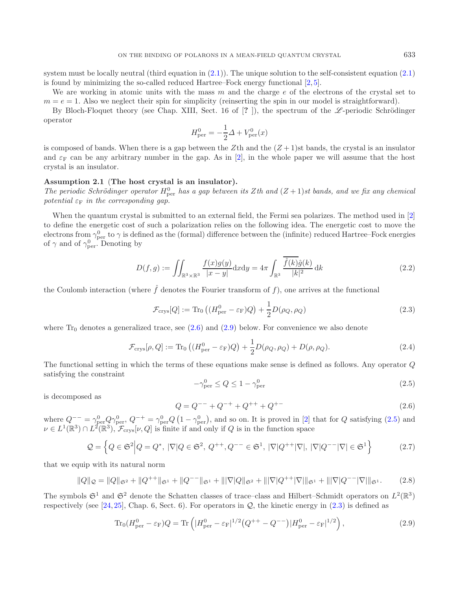system must be locally neutral (third equation in  $(2.1)$ ). The unique solution to the self-consistent equation  $(2.1)$ is found by minimizing the so-called reduced Hartree–Fock energy functional [\[2,](#page-26-1) [5\]](#page-27-17).

We are working in atomic units with the mass  $m$  and the charge  $e$  of the electrons of the crystal set to  $m = e = 1$ . Also we neglect their spin for simplicity (reinserting the spin in our model is straightforward).

By Bloch-Floquet theory (see Chap. XIII, Sect. 16 of [? ]), the spectrum of the  $\mathscr{L}$ -periodic Schrödinger operator

<span id="page-4-4"></span><span id="page-4-3"></span>
$$
H_{\text{per}}^0 = -\frac{1}{2}\Delta + V_{\text{per}}^0(x)
$$

is composed of bands. When there is a gap between the Zth and the  $(Z + 1)$ st bands, the crystal is an insulator and  $\varepsilon_F$  can be any arbitrary number in the gap. As in [\[2](#page-26-1)], in the whole paper we will assume that the host crystal is an insulator.

### **Assumption 2.1** (**The host crystal is an insulator).**

*The periodic Schrödinger operator*  $H_{\text{per}}^0$  *has a gap between its* Zth and  $(Z + 1)$ *st bands, and we fix any chemical notential*  $\epsilon_{\text{D}}$  *in the corresponding gap potential*  $\varepsilon_F$  *in the corresponding gap.* 

When the quantum crystal is submitted to an external field, the Fermi sea polarizes. The method used in [\[2\]](#page-26-1) to define the energetic cost of such a polarization relies on the following idea. The energetic cost to move the electrons from  $\gamma_{\text{per}}^0$  to  $\gamma$  is defined as the (formal) difference between the (infinite) reduced Hartree–Fock energies<br>of  $\alpha$  and of  $\alpha^0$ . Denoting by of  $\gamma$  and of  $\gamma_{\text{per}}^0$ . Denoting by

$$
D(f,g) := \iint_{\mathbb{R}^3 \times \mathbb{R}^3} \frac{f(x)g(y)}{|x - y|} dx dy = 4\pi \int_{\mathbb{R}^3} \frac{\hat{f}(k)\hat{g}(k)}{|k|^2} dk
$$
 (2.2)

<span id="page-4-2"></span><span id="page-4-0"></span>the Coulomb interaction (where  $\hat{f}$  denotes the Fourier transform of f), one arrives at the functional

$$
\mathcal{F}_{\text{crys}}[Q] := \text{Tr}_0\left( (H_{\text{per}}^0 - \varepsilon_{\text{F}})Q \right) + \frac{1}{2}D(\rho_Q, \rho_Q) \tag{2.3}
$$

where  $Tr_0$  denotes a generalized trace, see [\(2.6\)](#page-4-0) and [\(2.9\)](#page-4-1) below. For convenience we also denote

$$
\mathcal{F}_{\text{crys}}[\rho, Q] := \text{Tr}_0 \left( (H_{\text{per}}^0 - \varepsilon_{\text{F}}) Q \right) + \frac{1}{2} D(\rho_Q, \rho_Q) + D(\rho, \rho_Q). \tag{2.4}
$$

The functional setting in which the terms of these equations make sense is defined as follows. Any operator Q satisfying the constraint

<span id="page-4-5"></span><span id="page-4-1"></span>
$$
-\gamma_{\text{per}}^0 \le Q \le 1 - \gamma_{\text{per}}^0 \tag{2.5}
$$

is decomposed as

$$
Q = Q^{-+} + Q^{-+} + Q^{++} + Q^{+-}
$$
\n(2.6)

where  $Q^{--} = \gamma_{\text{per}}^0 Q \gamma_{\text{per}}^0$ ,  $Q^{-+} = \gamma_{\text{per}}^0 Q (1 - \gamma_{\text{per}}^0)$ , and so on. It is proved in [\[2\]](#page-26-1) that for Q satisfying [\(2.5\)](#page-4-2) and  $\mu \in L^1(\mathbb{R}^3) \cap L^2(\mathbb{R}^3)$ .  $\mathcal{F}^{-}[\mu, \Omega]$  is finite if and only if Q is in the  $\nu \in L^1(\mathbb{R}^3) \cap L^2(\mathbb{R}^3)$ ,  $\mathcal{F}_{\text{crys}}[\nu, Q]$  is finite if and only if Q is in the function space

$$
\mathcal{Q} = \left\{ Q \in \mathfrak{S}^2 \middle| Q = Q^*, \ |\nabla| Q \in \mathfrak{S}^2, \ Q^{++}, Q^{--} \in \mathfrak{S}^1, \ |\nabla| Q^{++} |\nabla|, \ |\nabla| Q^{--} |\nabla| \in \mathfrak{S}^1 \right\}
$$
(2.7)

that we equip with its natural norm

$$
||Q||_{\mathcal{Q}} = ||Q||_{\mathfrak{S}^2} + ||Q^{++}||_{\mathfrak{S}^1} + ||Q^{--}||_{\mathfrak{S}^1} + |||\nabla|Q||_{\mathfrak{S}^2} + |||\nabla|Q^{++}|\nabla||_{\mathfrak{S}^1} + |||\nabla|Q^{--}|\nabla|||_{\mathfrak{S}^1}.
$$
 (2.8)

The symbols  $\mathfrak{S}^1$  and  $\mathfrak{S}^2$  denote the Schatten classes of trace–class and Hilbert–Schmidt operators on  $L^2(\mathbb{R}^3)$ respectively (see [\[24,](#page-27-18) [25\]](#page-27-19), Chap. 6, Sect. 6). For operators in  $\mathcal{Q}$ , the kinetic energy in [\(2.3\)](#page-4-3) is defined as

$$
\text{Tr}_0(H_{\text{per}}^0 - \varepsilon_{\text{F}})Q = \text{Tr}\left(|H_{\text{per}}^0 - \varepsilon_{\text{F}}|^{1/2}\left(Q^{++} - Q^{--}\right)|H_{\text{per}}^0 - \varepsilon_{\text{F}}|^{1/2}\right),\tag{2.9}
$$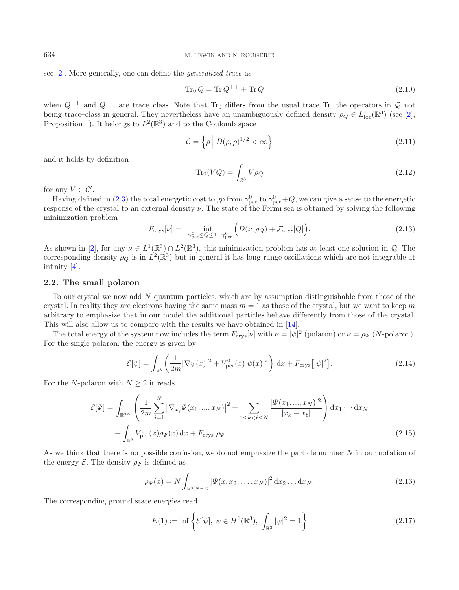see [\[2\]](#page-26-1). More generally, one can define the *generalized trace* as

$$
Tr_0 Q = Tr Q^{++} + Tr Q^{--}
$$
\n(2.10)

when  $Q^{++}$  and  $Q^{--}$  are trace–class. Note that Tr<sub>0</sub> differs from the usual trace Tr, the operators in  $Q$  not being trace–class in general. They nevertheless have an unambiguously defined density  $\rho_Q \in L^1_{loc}(\mathbb{R}^3)$  (see [\[2](#page-26-1)], Proposition 1) It belongs to  $L^2(\mathbb{R}^3)$  and to the Coulomb space Proposition 1). It belongs to  $L^2(\mathbb{R}^3)$  and to the Coulomb space

$$
\mathcal{C} = \left\{ \rho \, \middle| \, D(\rho, \rho)^{1/2} < \infty \right\} \tag{2.11}
$$

and it holds by definition

$$
\operatorname{Tr}_0(VQ) = \int_{\mathbb{R}^3} V \rho_Q \tag{2.12}
$$

for any  $V \in \mathcal{C}'$ .<br>Having defin

Having defined in [\(2.3\)](#page-4-3) the total energetic cost to go from  $\gamma_{\text{per}}^0$  to  $\gamma_{\text{per}}^0 + Q$ , we can give a sense to the energetic propose of the crystal to an external density  $\nu$ . The state of the Fermi sea is obtained b response of the crystal to an external density  $\nu$ . The state of the Fermi sea is obtained by solving the following minimization problem

$$
F_{\rm crys}[\nu] = \inf_{-\gamma_{\rm per}^0 \le Q \le 1 - \gamma_{\rm per}^0} \left( D(\nu, \rho_Q) + \mathcal{F}_{\rm crys}[Q] \right). \tag{2.13}
$$

As shown in [\[2](#page-26-1)], for any  $\nu \in L^1(\mathbb{R}^3) \cap L^2(\mathbb{R}^3)$ , this minimization problem has at least one solution in Q. The corresponding density  $\rho_Q$  is in  $L^2(\mathbb{R}^3)$  but in general it has long range oscillations which are not integrable at infinity [\[4\]](#page-27-20).

## **2.2. The small polaron**

To our crystal we now add N quantum particles, which are by assumption distinguishable from those of the crystal. In reality they are electrons having the same mass  $m = 1$  as those of the crystal, but we want to keep m arbitrary to emphasize that in our model the additional particles behave differently from those of the crystal. This will also allow us to compare with the results we have obtained in [\[14](#page-27-10)].

The total energy of the system now includes the term  $F_{\text{crys}}[\nu]$  with  $\nu = |\psi|^2$  (polaron) or  $\nu = \rho_\Psi$  (N-polaron). For the single polaron, the energy is given by

<span id="page-5-0"></span>
$$
\mathcal{E}[\psi] = \int_{\mathbb{R}^3} \left( \frac{1}{2m} |\nabla \psi(x)|^2 + V_{\text{per}}^0(x) |\psi(x)|^2 \right) dx + F_{\text{crys}} \left[ |\psi|^2 \right]. \tag{2.14}
$$

For the N-polaron with  $N \geq 2$  it reads

$$
\mathcal{E}[\Psi] = \int_{\mathbb{R}^{3N}} \left( \frac{1}{2m} \sum_{j=1}^{N} \left| \nabla_{x_j} \Psi(x_1, ..., x_N) \right|^2 + \sum_{1 \le k < \ell \le N} \frac{|\Psi(x_1, ..., x_N)|^2}{|x_k - x_\ell|} \right) dx_1 \cdots dx_N + \int_{\mathbb{R}^3} V_{\text{per}}^0(x) \rho_\Psi(x) dx + F_{\text{crys}}[\rho_\Psi]. \tag{2.15}
$$

As we think that there is no possible confusion, we do not emphasize the particle number N in our notation of the energy  $\mathcal{E}$ . The density  $\rho_{\Psi}$  is defined as

$$
\rho_{\Psi}(x) = N \int_{\mathbb{R}^{3(N-1)}} |\Psi(x, x_2, \dots, x_N)|^2 \, \mathrm{d}x_2 \dots \mathrm{d}x_N. \tag{2.16}
$$

The corresponding ground state energies read

$$
E(1) := \inf \left\{ \mathcal{E}[\psi], \ \psi \in H^1(\mathbb{R}^3), \ \int_{\mathbb{R}^3} |\psi|^2 = 1 \right\} \tag{2.17}
$$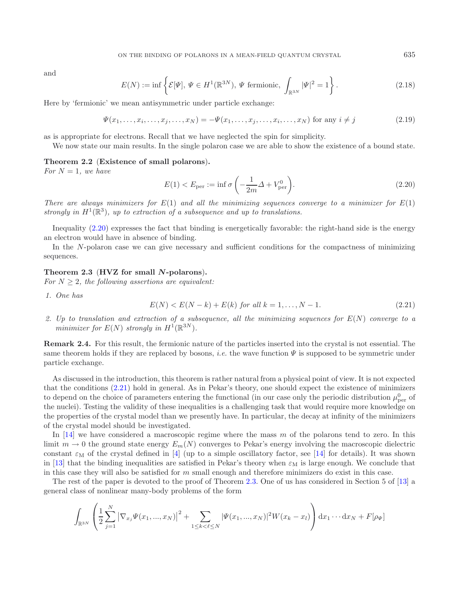<span id="page-6-0"></span>and

$$
E(N) := \inf \left\{ \mathcal{E}[\Psi], \, \Psi \in H^1(\mathbb{R}^{3N}), \, \Psi \text{ fermionic}, \, \int_{\mathbb{R}^{3N}} |\Psi|^2 = 1 \right\}. \tag{2.18}
$$

Here by 'fermionic' we mean antisymmetric under particle exchange:

$$
\Psi(x_1,\ldots,x_i,\ldots,x_j,\ldots,x_N) = -\Psi(x_1,\ldots,x_j,\ldots,x_i,\ldots,x_N) \text{ for any } i \neq j \tag{2.19}
$$

<span id="page-6-3"></span>as is appropriate for electrons. Recall that we have neglected the spin for simplicity.

We now state our main results. In the single polaron case we are able to show the existence of a bound state.

## **Theorem 2.2** (**Existence of small polarons**)**.**

<span id="page-6-1"></span>*For*  $N = 1$ *, we have* 

$$
E(1) < E_{\text{per}} := \inf \sigma \left( -\frac{1}{2m} \Delta + V_{\text{per}}^0 \right). \tag{2.20}
$$

*There are always minimizers for*  $E(1)$  *and all the minimizing sequences converge to a minimizer for*  $E(1)$  *strongly in*  $H^1(\mathbb{R}^3)$  *yn to extraction of a sybsequence and yn to translations strongly in*  $H^1(\mathbb{R}^3)$ *, up to extraction of a subsequence and up to translations.* 

Inequality [\(2.20\)](#page-6-0) expresses the fact that binding is energetically favorable: the right-hand side is the energy an electron would have in absence of binding.

<span id="page-6-2"></span>In the N-polaron case we can give necessary and sufficient conditions for the compactness of minimizing sequences.

### **Theorem 2.3** (**HVZ for small** *N***-polarons**)**.**

*For*  $N \geq 2$ *, the following assertions are equivalent:* 

*1. One has*

$$
E(N) < E(N - k) + E(k) \text{ for all } k = 1, \dots, N - 1. \tag{2.21}
$$

*2. Up to translation and extraction of a subsequence, all the minimizing sequences for* E(N) *converge to a minimizer for*  $E(N)$  *strongly in*  $H^1(\mathbb{R}^{3N})$ *.* 

**Remark 2.4.** For this result, the fermionic nature of the particles inserted into the crystal is not essential. The same theorem holds if they are replaced by bosons, *i.e.* the wave function  $\Psi$  is supposed to be symmetric under particle exchange.

As discussed in the introduction, this theorem is rather natural from a physical point of view. It is not expected that the conditions [\(2.21\)](#page-6-1) hold in general. As in Pekar's theory, one should expect the existence of minimizers to depend on the choice of parameters entering the functional (in our case only the periodic distribution  $\mu_{\text{per}}^0$  of<br>the nuclei). Testing the validity of these inequalities is a challenging task that would require mo the nuclei). Testing the validity of these inequalities is a challenging task that would require more knowledge on the properties of the crystal model than we presently have. In particular, the decay at infinity of the minimizers of the crystal model should be investigated.

In  $[14]$  $[14]$  we have considered a macroscopic regime where the mass m of the polarons tend to zero. In this limit  $m \to 0$  the ground state energy  $E_m(N)$  converges to Pekar's energy involving the macroscopic dielectric constant  $\varepsilon_M$  of the crystal defined in [\[4](#page-27-20)] (up to a simple oscillatory factor, see [\[14\]](#page-27-10) for details). It was shown in [\[13](#page-27-9)] that the binding inequalities are satisfied in Pekar's theory when  $\varepsilon_M$  is large enough. We conclude that in this case they will also be satisfied for  $m$  small enough and therefore minimizers do exist in this case.

The rest of the paper is devoted to the proof of Theorem [2.3.](#page-6-2) One of us has considered in Section 5 of [\[13\]](#page-27-9) a general class of nonlinear many-body problems of the form

$$
\int_{\mathbb{R}^{3N}} \left( \frac{1}{2} \sum_{j=1}^{N} \left| \nabla_{x_j} \Psi(x_1, ..., x_N) \right|^2 + \sum_{1 \le k < \ell \le N} |\Psi(x_1, ..., x_N)|^2 W(x_k - x_l) \right) dx_1 \cdots dx_N + F[\rho_{\Psi}]
$$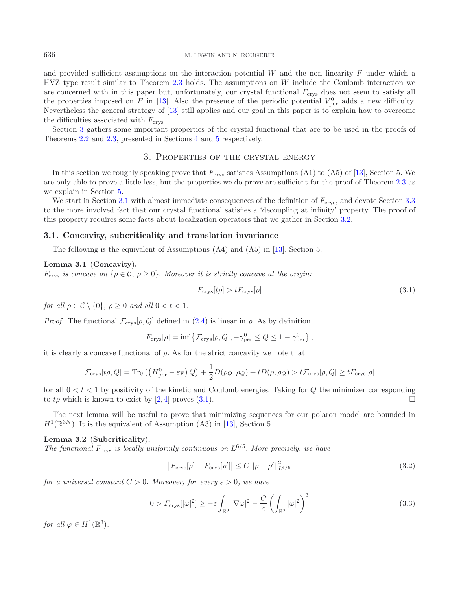and provided sufficient assumptions on the interaction potential  $W$  and the non linearity  $F$  under which a  $HVZ$  type result similar to Theorem [2.3](#page-6-2) holds. The assumptions on W include the Coulomb interaction we are concerned with in this paper but, unfortunately, our crystal functional  $F_{\rm crvs}$  does not seem to satisfy all the properties imposed on F in [\[13\]](#page-27-9). Also the presence of the periodic potential  $V_{\text{per}}^0$  adds a new difficulty.<br>Nevertheless the general strategy of [13] still applies and our goal in this paper is to explain how to o Nevertheless the general strategy of [\[13\]](#page-27-9) still applies and our goal in this paper is to explain how to overcome the difficulties associated with  $F_{\rm crys}$ .

<span id="page-7-0"></span>Section [3](#page-7-0) gathers some important properties of the crystal functional that are to be used in the proofs of Theorems [2.2](#page-6-3) and [2.3,](#page-6-2) presented in Sections [4](#page-14-0) and [5](#page-18-0) respectively.

# <span id="page-7-2"></span>3. Properties of the crystal energy

In this section we roughly speaking prove that  $F_{\text{crys}}$  satisfies Assumptions (A1) to (A5) of [\[13](#page-27-9)], Section 5. We are only able to prove a little less, but the properties we do prove are sufficient for the proof of Theorem [2.3](#page-6-2) as we explain in Section [5.](#page-18-0)

We start in Section [3.1](#page-7-1) with almost immediate consequences of the definition of  $F_{\text{crys}}$ , and devote Section [3.3](#page-11-0) to the more involved fact that our crystal functional satisfies a 'decoupling at infinity' property. The proof of this property requires some facts about localization operators that we gather in Section [3.2.](#page-9-0)

## <span id="page-7-1"></span>**3.1. Concavity, subcriticality and translation invariance**

The following is the equivalent of Assumptions (A4) and (A5) in [\[13](#page-27-9)], Section 5.

### **Lemma 3.1** (**Concavity**)**.**

 $F_{\text{crys}}$  *is concave on*  $\{\rho \in \mathcal{C}, \rho \geq 0\}$ *. Moreover it is strictly concave at the origin:* 

<span id="page-7-3"></span>
$$
F_{\rm crys}[t\rho] > tF_{\rm crys}[\rho] \tag{3.1}
$$

*for all*  $\rho \in \mathcal{C} \setminus \{0\}$ *,*  $\rho \geq 0$  *and all*  $0 < t < 1$ *.* 

*Proof.* The functional  $\mathcal{F}_{\text{crys}}[\rho, Q]$  defined in [\(2.4\)](#page-4-4) is linear in  $\rho$ . As by definition

$$
F_{\rm crys}[\rho] = \inf \left\{ \mathcal{F}_{\rm crys}[\rho, Q], -\gamma_{\rm per}^0 \le Q \le 1 - \gamma_{\rm per}^0 \right\},\,
$$

it is clearly a concave functional of  $\rho$ . As for the strict concavity we note that

$$
\mathcal{F}_{\text{crys}}[t\rho, Q] = \text{Tr}_0\left(\left(H_{\text{per}}^0 - \varepsilon_{\text{F}}\right)Q\right) + \frac{1}{2}D(\rho_Q, \rho_Q) + tD(\rho, \rho_Q) > t\mathcal{F}_{\text{crys}}[\rho, Q] \ge tF_{\text{crys}}[\rho]
$$

for all  $0 < t < 1$  by positivity of the kinetic and Coulomb energies. Taking for Q the minimizer corresponding to to which is known to exist by [2, 4] proves (3, 1) to  $t\rho$  which is known to exist by [\[2](#page-26-1), [4\]](#page-27-20) proves [\(3.1\)](#page-7-2).

<span id="page-7-4"></span>The next lemma will be useful to prove that minimizing sequences for our polaron model are bounded in  $H^1(\mathbb{R}^{3N})$ . It is the equivalent of Assumption (A3) in [\[13\]](#page-27-9), Section 5.

## **Lemma 3.2** (**Subcriticality**)**.**

*The functional*  $F_{\text{crys}}$  *is locally uniformly continuous on*  $L^{6/5}$ *. More precisely, we have* 

$$
\left| F_{\rm crys}[\rho] - F_{\rm crys}[\rho'] \right| \le C \left\| \rho - \rho' \right\|_{L^{6/5}}^2 \tag{3.2}
$$

*for a universal constant*  $C > 0$ *. Moreover, for every*  $\varepsilon > 0$ *, we have* 

$$
0 > F_{\rm crys} [|\varphi|^2] \ge -\varepsilon \int_{\mathbb{R}^3} |\nabla \varphi|^2 - \frac{C}{\varepsilon} \left( \int_{\mathbb{R}^3} |\varphi|^2 \right)^3 \tag{3.3}
$$

*for all*  $\varphi \in H^1(\mathbb{R}^3)$ *.*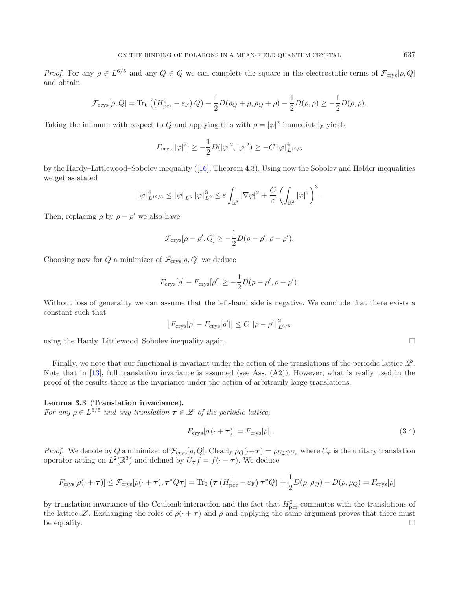*Proof.* For any  $\rho \in L^{6/5}$  and any  $Q \in Q$  we can complete the square in the electrostatic terms of  $\mathcal{F}_{\text{crys}}[\rho, Q]$ and obtain

$$
\mathcal{F}_{\text{crys}}[\rho, Q] = \text{Tr}_0 \left( \left( H_{\text{per}}^0 - \varepsilon_{\text{F}} \right) Q \right) + \frac{1}{2} D(\rho_Q + \rho, \rho_Q + \rho) - \frac{1}{2} D(\rho, \rho) \ge -\frac{1}{2} D(\rho, \rho).
$$

Taking the infimum with respect to Q and applying this with  $\rho = |\varphi|^2$  immediately yields

$$
F_{\rm crys} [|\varphi|^2] \ge -\frac{1}{2} D(|\varphi|^2, |\varphi|^2) \ge -C \, \|\varphi\|_{L^{12/5}}^4
$$

by the Hardy–Littlewood–Sobolev inequality ( $[16]$  $[16]$ , Theorem 4.3). Using now the Sobolev and Hölder inequalities we get as stated

$$
\|\varphi\|_{L^{12/5}}^4 \le \|\varphi\|_{L^6} \|\varphi\|_{L^2}^3 \le \varepsilon \int_{\mathbb{R}^3} |\nabla \varphi|^2 + \frac{C}{\varepsilon} \left( \int_{\mathbb{R}^3} |\varphi|^2 \right)^3.
$$

Then, replacing  $\rho$  by  $\rho - \rho'$  we also have

$$
\mathcal{F}_{\rm crys}[\rho-\rho',Q] \geq -\frac{1}{2}D(\rho-\rho',\rho-\rho').
$$

Choosing now for Q a minimizer of  $\mathcal{F}_{\text{crys}}[\rho, Q]$  we deduce

$$
F_{\rm crys}[\rho]-F_{\rm crys}[\rho'] \geq -\frac{1}{2}D(\rho-\rho',\rho-\rho').
$$

Without loss of generality we can assume that the left-hand side is negative. We conclude that there exists a constant such that

$$
\left|F_{\rm crys}[\rho] - F_{\rm crys}[\rho']\right| \le C \left\|\rho - \rho'\right\|_{L^{6/5}}^2
$$

using the Hardy–Littlewood–Sobolev inequality again.  $\Box$ 

Finally, we note that our functional is invariant under the action of the translations of the periodic lattice  $\mathscr{L}$ . Note that in [\[13\]](#page-27-9), full translation invariance is assumed (see Ass. (A2)). However, what is really used in the proof of the results there is the invariance under the action of arbitrarily large translations.

## <span id="page-8-0"></span>**Lemma 3.3** (**Translation invariance**)**.**

*For any*  $\rho \in L^{\hat{6}/5}$  *and any translation*  $\tau \in \mathcal{L}$  *of the periodic lattice,* 

$$
F_{\rm crys}[\rho(\cdot+\tau)] = F_{\rm crys}[\rho]. \tag{3.4}
$$

*Proof.* We denote by Q a minimizer of  $\mathcal{F}_{\text{crys}}[\rho, Q]$ . Clearly  $\rho_Q(\cdot + \tau) = \rho_{U^*_*QU_{\tau}}$  where  $U_{\tau}$  is the unitary translation operator acting on  $I^2(\mathbb{R}^3)$  and defined by  $U_{\tau} f = f(\cdot - \tau)$ . We deduce operator acting on  $L^2(\mathbb{R}^3)$  and defined by  $U_{\tau} f = f(-\tau)$ . We deduce

$$
F_{\text{crys}}[\rho(\cdot + \tau)] \leq \mathcal{F}_{\text{crys}}[\rho(\cdot + \tau), \tau^* Q \tau] = \text{Tr}_0 \left( \tau \left( H_{\text{per}}^0 - \varepsilon_{\text{F}} \right) \tau^* Q \right) + \frac{1}{2} D(\rho, \rho_Q) - D(\rho, \rho_Q) = F_{\text{crys}}[\rho]
$$

by translation invariance of the Coulomb interaction and the fact that  $H_{\text{per}}^0$  commutes with the translations of the lattice  $\mathscr{L}_{\text{Exchanning}}$  the roles of  $q(x + \tau)$  and a and applying the same argument proves that there the lattice *L*. Exchanging the roles of  $\rho(\cdot + \tau)$  and  $\rho$  and applying the same argument proves that there must<br>be equality. be equality.  $\Box$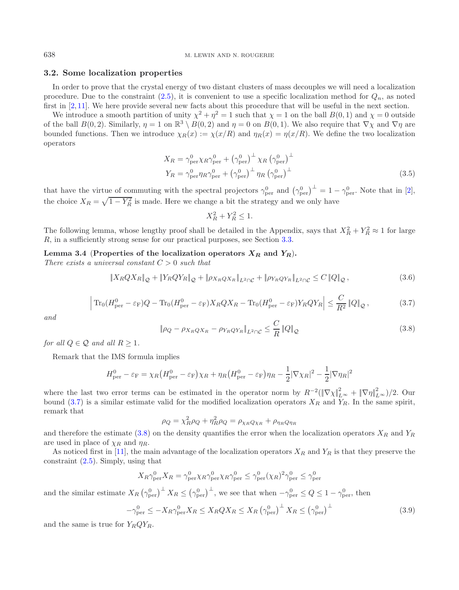## <span id="page-9-0"></span>**3.2. Some localization properties**

In order to prove that the crystal energy of two distant clusters of mass decouples we will need a localization procedure. Due to the constraint [\(2.5\)](#page-4-2), it is convenient to use a specific localization method for  $Q_n$ , as noted first in [\[2,](#page-26-1) [11\]](#page-27-22). We here provide several new facts about this procedure that will be useful in the next section.

We introduce a smooth partition of unity  $\chi^2 + \eta^2 = 1$  such that  $\chi = 1$  on the ball  $B(0, 1)$  and  $\chi = 0$  outside of the ball  $B(0, 2)$ . Similarly,  $\eta = 1$  on  $\mathbb{R}^3 \setminus B(0, 2)$  and  $\eta = 0$  on  $B(0, 1)$ . We also require that  $\nabla \chi$  and  $\nabla \eta$  are bounded functions. Then we introduce  $\chi_R(x) := \chi(x/R)$  and  $\eta_R(x) = \eta(x/R)$ . We define the two localization operators

<span id="page-9-3"></span>
$$
X_R = \gamma_{\text{per}}^0 \chi_R \gamma_{\text{per}}^0 + \left(\gamma_{\text{per}}^0\right)^{\perp} \chi_R \left(\gamma_{\text{per}}^0\right)^{\perp}
$$
  
\n
$$
Y_R = \gamma_{\text{per}}^0 \eta_R \gamma_{\text{per}}^0 + \left(\gamma_{\text{per}}^0\right)^{\perp} \eta_R \left(\gamma_{\text{per}}^0\right)^{\perp}
$$
\n(3.5)

<span id="page-9-2"></span><span id="page-9-1"></span>that have the virtue of commuting with the spectral projectors  $\gamma_{\text{per}}^0$  and  $(\gamma_{\text{per}}^0)^{\perp} = 1 - \gamma_{\text{per}}^0$ . Note that in [\[2](#page-26-1)], the choice  $X_R = \sqrt{1 - Y_R^2}$  is made. Here we change a bit the strategy and we only have

$$
X_R^2 + Y_R^2 \le 1.
$$

<span id="page-9-4"></span>The following lemma, whose lengthy proof shall be detailed in the Appendix, says that  $X_R^2 + Y_R^2 \approx 1$  for large  $R$  in a sufficiently strong sense for our practical purposes see Section 3.3. R, in a sufficiently strong sense for our practical purposes, see Section [3.3.](#page-11-0)

## Lemma 3.4 (Properties of the localization operators  $X_R$  and  $Y_R$ ).

*There exists a universal constant* C > <sup>0</sup> *such that*

$$
\|X_RQX_R\|_{\mathcal{Q}} + \|Y_RQY_R\|_{\mathcal{Q}} + \|\rho_{X_RQX_R}\|_{L^2\cap\mathcal{C}} + \|\rho_{Y_RQY_R}\|_{L^2\cap\mathcal{C}} \leq C\|Q\|_{\mathcal{Q}},\tag{3.6}
$$

$$
\operatorname{Tr}_0(H_{\text{per}}^0 - \varepsilon_\text{F})Q - \operatorname{Tr}_0(H_{\text{per}}^0 - \varepsilon_\text{F})X_RQX_R - \operatorname{Tr}_0(H_{\text{per}}^0 - \varepsilon_\text{F})Y_RQY_R \Big| \le \frac{C}{R^2} \|Q\|_{\mathcal{Q}},\tag{3.7}
$$

*and*

$$
\|\rho_Q - \rho_{X_R Q X_R} - \rho_{Y_R Q Y_R}\|_{L^2 \cap \mathcal{C}} \le \frac{C}{R} \|Q\|_{\mathcal{Q}}
$$
\n(3.8)

*for all*  $Q \in \mathcal{Q}$  *and all*  $R > 1$ *.* 

 $\overline{\phantom{a}}$  $\overline{\phantom{a}}$  $\mid$ 

Remark that the IMS formula implies

$$
H_{\text{per}}^0 - \varepsilon_{\text{F}} = \chi_R \left( H_{\text{per}}^0 - \varepsilon_{\text{F}} \right) \chi_R + \eta_R \left( H_{\text{per}}^0 - \varepsilon_{\text{F}} \right) \eta_R - \frac{1}{2} |\nabla \chi_R|^2 - \frac{1}{2} |\nabla \eta_R|^2
$$

where the last two error terms can be estimated in the operator norm by  $R^{-2}(\|\nabla \chi\|_{L^{\infty}}^2 + \|\nabla \eta\|_{L^{\infty}}^2)/2$ . Our hound (3.7) is a similar estimate valid for the modified localization operators  $X_{\text{D}}$  and  $Y_{\$ bound [\(3.7\)](#page-9-1) is a similar estimate valid for the modified localization operators  $X_R$  and  $Y_R$ . In the same spirit, remark that

$$
\rho_Q = \chi_R^2 \rho_Q + \eta_R^2 \rho_Q = \rho_{\chi_R Q \chi_R} + \rho_{\eta_R Q \eta_R}
$$

and therefore the estimate [\(3.8\)](#page-9-2) on the density quantifies the error when the localization operators  $X_R$  and  $Y_R$ <br>are used in place of  $\chi_R$  and  $\eta_R$ are used in place of  $\chi_R$  and  $\eta_R$ .

As noticed first in [\[11](#page-27-22)], the main advantage of the localization operators  $X_R$  and  $Y_R$  is that they preserve the constraint [\(2.5\)](#page-4-2). Simply, using that

$$
X_R \gamma_{\text{per}}^0 X_R = \gamma_{\text{per}}^0 \chi_R \gamma_{\text{per}}^0 \chi_R \gamma_{\text{per}}^0 \le \gamma_{\text{per}}^0 (\chi_R)^2 \gamma_{\text{per}}^0 \le \gamma_{\text{per}}^0
$$

and the similar estimate  $X_R(\gamma_{\text{per}}^0)^{\perp} X_R \leq (\gamma_{\text{per}}^0)^{\perp}$ , we see that when  $-\gamma_{\text{per}}^0 \leq Q \leq 1 - \gamma_{\text{per}}^0$ , then

$$
-\gamma_{\text{per}}^0 \le -X_R \gamma_{\text{per}}^0 X_R \le X_R Q X_R \le X_R \left(\gamma_{\text{per}}^0\right)^{\perp} X_R \le \left(\gamma_{\text{per}}^0\right)^{\perp} \tag{3.9}
$$

and the same is true for  $Y_RQY_R$ .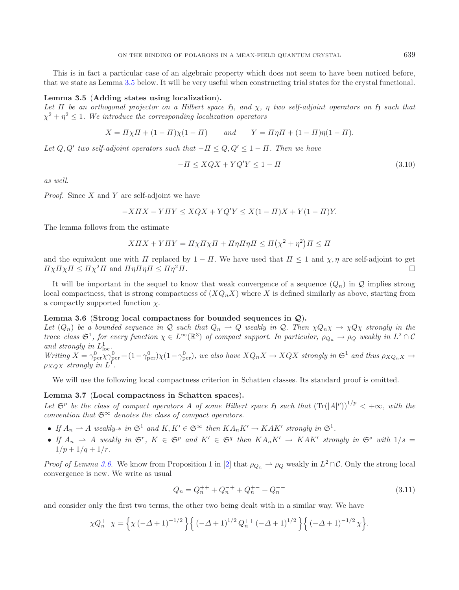<span id="page-10-0"></span>This is in fact a particular case of an algebraic property which does not seem to have been noticed before, that we state as Lemma [3.5](#page-10-0) below. It will be very useful when constructing trial states for the crystal functional.

### **Lemma 3.5** (**Adding states using localization**)**.**

Let  $\Pi$  be an orthogonal projector on a Hilbert space  $\mathfrak{H}$ , and  $\chi$ ,  $\eta$  two self-adjoint operators on  $\mathfrak{H}$  such that  $\chi^2 + \eta^2 \leq 1$ *. We introduce the corresponding localization operators* 

$$
X = \Pi \chi \Pi + (1 - \Pi) \chi (1 - \Pi)
$$
 and  $Y = \Pi \eta \Pi + (1 - \Pi) \eta (1 - \Pi)$ .

*Let*  $Q, Q'$  *two self-adjoint operators such that*  $-\Pi \leq Q, Q' \leq 1 - \Pi$ *. Then we have* 

$$
-H \le XQX + YQ'Y \le 1 - H \tag{3.10}
$$

*as well.*

*Proof.* Since X and Y are self-adjoint we have

$$
-X\Pi X - Y\Pi Y \le XQX + YQ'Y \le X(1 - \Pi)X + Y(1 - \Pi)Y.
$$

The lemma follows from the estimate

$$
X\Pi X + Y\Pi Y = \Pi \chi \Pi \chi \Pi + \Pi \eta \Pi \eta \Pi \le \Pi \left( \chi^2 + \eta^2 \right) \Pi \le \Pi
$$

and the equivalent one with  $\Pi$  replaced by  $1 - \Pi$ . We have used that  $\Pi \le 1$  and  $\chi, \eta$  are self-adjoint to get  $\Pi \chi \Pi \chi \Pi \le \Pi \chi^2 \Pi$  and  $\Pi \eta \Pi \Pi \Pi \le \Pi \eta^2 \Pi$ .  $\Pi \chi \Pi \chi \Pi \leq \Pi \chi^2 \Pi$  and  $\Pi \eta \Pi \eta \Pi \leq \Pi \eta^2 \Pi$ .

It will be important in the sequel to know that weak convergence of a sequence  $(Q_n)$  in Q implies strong local compactness, that is strong compactness of  $(XQ_nX)$  where X is defined similarly as above, starting from a compactly supported function  $\chi$ .

### <span id="page-10-1"></span>**Lemma 3.6** (**Strong local compactness for bounded sequences in** *Q*)**.**

*Let*  $(Q_n)$  *be a bounded sequence in*  $Q$  *such that*  $Q_n \rightharpoonup Q$  *weakly in*  $Q$ *. Then*  $\chi Q_n \chi \rightharpoonup \chi Q \chi$  *strongly in the trace–class*  $\mathfrak{S}^1$ , for every function  $\chi \in L^{\infty}(\mathbb{R}^3)$  of compact support. In particular,  $\rho_{Q_n} \to \rho_Q$  weakly in  $L^2 \cap C$ and strongly in  $L^1_{\text{loc}}$ .<br>Writing  $X = \gamma^0 \sqrt{2\gamma^0}$ .

*Writing*  $X = \gamma_{\text{per}}^0 \chi \gamma_{\text{per}}^0 + (1 - \gamma_{\text{per}}^0) \chi (1 - \gamma_{\text{per}}^0)$ , we also have  $XQ_nX \to XQX$  strongly in  $\mathfrak{S}^1$  and thus  $\rho_{XQ_nX} \to \rho_{XQ_nX}$  $\rho_{XQX}$  *strongly in*  $L^1$ .

We will use the following local compactness criterion in Schatten classes. Its standard proof is omitted.

## <span id="page-10-2"></span>**Lemma 3.7** (**Local compactness in Schatten spaces**)**.**

Let  $\mathbb{S}^p$  be the class of compact operators A of some Hilbert space  $\mathfrak{H}$  such that  $\left(\text{Tr}(|A|^p)\right)^{1/p} < +\infty$ , with the convention that  $\mathbb{S}^{\infty}$  denotes the class of connact operators *convention that*  $\mathfrak{S}^{\infty}$  *denotes the class of compact operators.* 

- *If*  $A_n \rightharpoonup A$  *weakly-* $*$  *in*  $\mathfrak{S}^1$  *and*  $K, K' \in \mathfrak{S}^\infty$  *then*  $KA_nK' \rightharpoonup KAK'$  *strongly in*  $\mathfrak{S}^1$ *.*
- *If*  $A_n \rightharpoonup A$  *weakly in*  $\mathfrak{S}^r$ ,  $K \in \mathfrak{S}^p$  *and*  $K' \in \mathfrak{S}^q$  *then*  $KA_nK' \rightharpoonup KAK'$  *strongly in*  $\mathfrak{S}^s$  *with*  $1/s =$  $1/p + 1/q + 1/r$ .

*Proof of Lemma [3.6.](#page-10-1)* We know from Proposition 1 in [\[2](#page-26-1)] that  $\rho_{Q_n} \to \rho_Q$  weakly in  $L^2 \cap C$ . Only the strong local convergence is new. We write as usual

$$
Q_n = Q_n^{++} + Q_n^{-+} + Q_n^{+-} + Q_n^{--}
$$
\n(3.11)

and consider only the first two terms, the other two being dealt with in a similar way. We have

$$
\chi Q_n^{++} \chi = \left\{ \chi \left( -\Delta + 1 \right)^{-1/2} \right\} \left\{ \left( -\Delta + 1 \right)^{1/2} Q_n^{++} \left( -\Delta + 1 \right)^{1/2} \right\} \left\{ \left( -\Delta + 1 \right)^{-1/2} \chi \right\}.
$$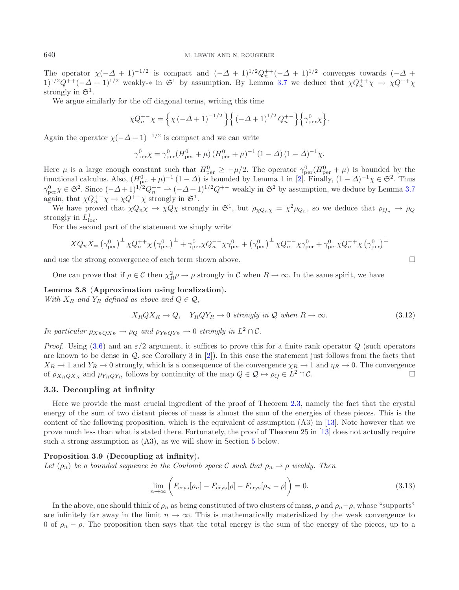The operator  $\chi(-\Delta + 1)^{-1/2}$  is compact and  $(-\Delta + 1)^{1/2}Q_{n}^{++}(-\Delta + 1)^{1/2}$  converges towards  $(-\Delta + 1)^{1/2}Q_{n}^{++}(-\Delta + 1)^{1/2}Q_{n}^{++}(-\Delta + 1)^{1/2}Q_{n}^{++}(-\Delta + 1)^{1/2}Q_{n}^{++}(-\Delta + 1)^{1/2}Q_{n}^{++}(-\Delta + 1)^{1/2}Q_{n}^{++}(-\Delta + 1)^{1$  $1)^{1/2}Q^{++}(-\Delta+1)^{1/2}$  weakly- $*$  in  $\mathfrak{S}^1$  by assumption. By Lemma [3.7](#page-10-2) we deduce that  $\chi Q_n^{++}\chi \to \chi Q^{++}\chi$ <br>strongly in  $\mathfrak{S}^1$ strongly in  $\mathfrak{S}^1$ .

We argue similarly for the off diagonal terms, writing this time

$$
\chi Q_n^{+-} \chi = \left\{ \chi \left( -\varDelta + 1 \right)^{-1/2} \right\} \left\{ \left( -\varDelta + 1 \right)^{1/2} Q_n^{+-} \right\} \left\{ \gamma_{\text{per}}^0 \chi \right\}.
$$

Again the operator  $\chi(-\Delta+1)^{-1/2}$  is compact and we can write

$$
\gamma_{\text{per}}^0 \chi = \gamma_{\text{per}}^0 (H_{\text{per}}^0 + \mu) (H_{\text{per}}^0 + \mu)^{-1} (1 - \Delta) (1 - \Delta)^{-1} \chi.
$$

Here  $\mu$  is a large enough constant such that  $H_{\text{per}}^0 \ge -\mu/2$ . The operator  $\gamma_{\text{per}}^0(H_{\text{per}}^0 + \mu)$  is bounded by the functional calculus. Also  $(H^0 + \mu)^{-1}(1 - \Lambda)$  is bounded by Lemma 1 in [2] Finally  $(1 - \Lambda)^{-1} \times \in \math$ functional calculus. Also,  $(H_{\text{per}}^0 + \mu)^{-1} (1 - \Delta)$  is bounded by Lemma 1 in [\[2](#page-26-1)]. Finally,  $(1 - \Delta)^{-1} \chi \in \mathfrak{S}^2$ . Thus  $\gamma_{\text{per}}^0 \chi \in \mathfrak{S}^2$ . Since  $(-\Delta+1)^{1/2} Q_{n}^{+-} \to (-\Delta+1)^{1/2} Q^{+-}$  weakly in  $\mathfrak{S}^2$  by assumption, we deduce by Lemma [3.7](#page-10-2) again, that  $\chi Q_n^{+-}\chi \to \chi Q^{+-}\chi$  strongly in  $\mathfrak{S}^1$ .<br>We have proved that  $\chi Q \times \to \chi Q \times$  strong

We have proved that  $\chi Q_n \chi \to \chi Q \chi$  strongly in  $\mathfrak{S}^1$ , but  $\rho_{\chi Q_n \chi} = \chi^2 \rho_{Q_n}$ , so we deduce that  $\rho_{Q_n} \to \rho_Q$ strongly in  $L^1_{loc}$ .<br>For the secon

For the second part of the statement we simply write

$$
XQ_nX = (\gamma_{\text{per}}^0)^{\perp} \chi Q_n^{++} \chi (\gamma_{\text{per}}^0)^{\perp} + \gamma_{\text{per}}^0 \chi Q_n^{--} \chi \gamma_{\text{per}}^0 + (\gamma_{\text{per}}^0)^{\perp} \chi Q_n^{+-} \chi \gamma_{\text{per}}^0 + \gamma_{\text{per}}^0 \chi Q_n^{-+} \chi (\gamma_{\text{per}}^0)^{\perp}
$$
  
the strong convergence of each term shown above.

and use the strong convergence of each term shown above.

One can prove that if  $\rho \in \mathcal{C}$  then  $\chi^2_R \rho \to \rho$  strongly in  $\mathcal{C}$  when  $R \to \infty$ . In the same spirit, we have

# <span id="page-11-3"></span>**Lemma 3.8** (**Approximation using localization**)**.** *With*  $X_R$  *and*  $Y_R$  *defined as above and*  $Q \in \mathcal{Q}$ *,*

<span id="page-11-1"></span>
$$
X_RQX_R \to Q, \quad Y_RQY_R \to 0 \text{ strongly in } Q \text{ when } R \to \infty. \tag{3.12}
$$

*In particular*  $\rho_{X_RQX_R} \to \rho_Q$  *and*  $\rho_{Y_RQY_R} \to 0$  *strongly in*  $L^2 \cap C$ *.* 

*Proof.* Using [\(3.6\)](#page-9-3) and an  $\varepsilon/2$  argument, it suffices to prove this for a finite rank operator Q (such operators are known to be dense in  $\mathcal{Q}$ , see Corollary 3 in [\[2](#page-26-1)]). In this case the statement just follows from the facts that  $X_R \to 1$  and  $Y_R \to 0$  strongly, which is a consequence of the convergence  $\chi_R \to 1$  and  $\eta_R \to 0$ . The convergence of  $\rho_{X\to OY}$  and  $\rho_{Y\to OY}$  follows by continuity of the map  $Q \in \mathcal{Q} \mapsto \rho_Q \in L^2 \cap \mathcal{C}$ . of  $\rho_{X_RQX_R}$  and  $\rho_{Y_RQY_R}$  follows by continuity of the map  $Q \in \mathcal{Q} \mapsto \rho_Q \in L^2 \cap \mathcal{C}$ .

# <span id="page-11-0"></span>**3.3. Decoupling at infinity**

Here we provide the most crucial ingredient of the proof of Theorem [2.3,](#page-6-2) namely the fact that the crystal energy of the sum of two distant pieces of mass is almost the sum of the energies of these pieces. This is the content of the following proposition, which is the equivalent of assumption (A3) in [\[13](#page-27-9)]. Note however that we prove much less than what is stated there. Fortunately, the proof of Theorem 25 in [\[13\]](#page-27-9) does not actually require such a strong assumption as (A3), as we will show in Section [5](#page-18-0) below.

# <span id="page-11-2"></span>**Proposition 3.9** (**Decoupling at infinity**)**.**

*Let*  $(\rho_n)$  *be a bounded sequence in the Coulomb space* C *such that*  $\rho_n \to \rho$  *weakly. Then* 

$$
\lim_{n \to \infty} \left( F_{\text{crys}}[\rho_n] - F_{\text{crys}}[\rho] - F_{\text{crys}}[\rho_n - \rho] \right) = 0. \tag{3.13}
$$

In the above, one should think of  $\rho_n$  as being constituted of two clusters of mass,  $\rho$  and  $\rho_n-\rho$ , whose "supports" are infinitely far away in the limit  $n \to \infty$ . This is mathematically materialized by the weak convergence to 0 of  $\rho_n - \rho$ . The proposition then says that the total energy is the sum of the energy of the pieces, up to a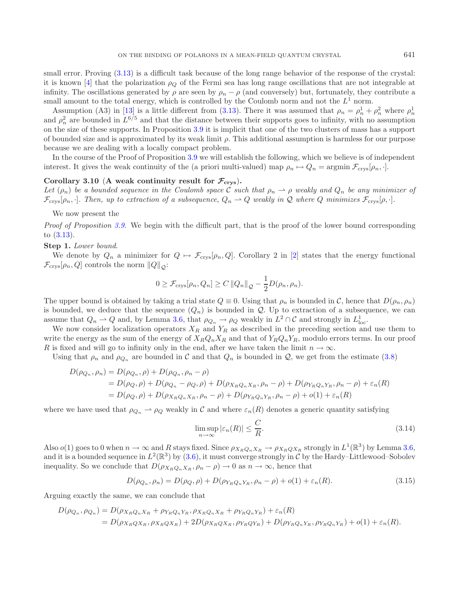Assumption (A3) in [\[13\]](#page-27-9) is a little different from [\(3.13\)](#page-11-1). There it was assumed that  $\rho_n = \rho_n^1 + \rho_n^2$  where  $\rho_n^1$  and  $\rho_n^2$  are bounded in  $L^{6/5}$  and that the distance between their supports goes to infinity, with on the size of these supports. In Proposition [3.9](#page-11-2) it is implicit that one of the two clusters of mass has a support of bounded size and is approximated by its weak limit  $\rho$ . This additional assumption is harmless for our purpose because we are dealing with a locally compact problem.

<span id="page-12-0"></span>In the course of the Proof of Proposition [3.9](#page-11-2) we will establish the following, which we believe is of independent interest. It gives the weak continuity of the (a priori multi-valued) map  $\rho_n \mapsto Q_n = \operatorname{argmin} \mathcal{F}_{\text{crys}}[\rho_n, \cdot].$ 

### Corollary 3.10 (A weak continuity result for  $\mathcal{F}_{\text{crys}}$ ).

*Let*  $(\rho_n)$  *be a bounded sequence in the Coulomb space* C *such that*  $\rho_n \rightharpoonup \rho$  *weakly and*  $Q_n$  *be any minimizer of*  $\mathcal{F}_{\text{crys}}[\rho_n, \cdot]$ . Then, up to extraction of a subsequence,  $Q_n \rightharpoonup Q$  weakly in  $\mathcal Q$  where  $Q$  minimizes  $\mathcal{F}_{\text{crys}}[\rho, \cdot]$ .

We now present the

*Proof of Proposition [3.9.](#page-11-2)* We begin with the difficult part, that is the proof of the lower bound corresponding to [\(3.13\)](#page-11-1).

**Step 1.** *Lower bound*.

We denote by  $Q_n$  a minimizer for  $Q \mapsto \mathcal{F}_{\text{crys}}[\rho_n, Q]$ . Corollary 2 in [\[2\]](#page-26-1) states that the energy functional  $\mathcal{F}_{\text{crys}}[\rho_n, Q]$  controls the norm  $||Q||_{\mathcal{O}}$ :

$$
0 \geq \mathcal{F}_{\text{crys}}[\rho_n, Q_n] \geq C ||Q_n||_{\mathcal{Q}} - \frac{1}{2}D(\rho_n, \rho_n).
$$

The upper bound is obtained by taking a trial state  $Q \equiv 0$ . Using that  $\rho_n$  is bounded in C, hence that  $D(\rho_n, \rho_n)$ is bounded, we deduce that the sequence  $(Q_n)$  is bounded in  $\mathcal{Q}$ . Up to extraction of a subsequence, we can assume that  $Q_n \rightharpoonup Q$  and, by Lemma [3.6,](#page-10-1) that  $\rho_{Q_n} \rightharpoonup \rho_Q$  weakly in  $L^2 \cap C$  and strongly in  $L^1_{\text{loc}}$ .<br>We now consider localization operators  $X_p$  and  $Y_p$  as described in the preceding section and

We now consider localization operators  $X_R$  and  $Y_R$  as described in the preceding section and use them to write the energy as the sum of the energy of  $X_RQ_nX_R$  and that of  $Y_RQ_nY_R$ , modulo errors terms. In our proof R is fixed and will go to infinity only in the end, after we have taken the limit  $n \to \infty$ .

Using that  $\rho_n$  and  $\rho_{Q_n}$  are bounded in C and that  $Q_n$  is bounded in Q, we get from the estimate [\(3.8\)](#page-9-2)

$$
D(\rho_{Q_n}, \rho_n) = D(\rho_{Q_n}, \rho) + D(\rho_{Q_n}, \rho_n - \rho)
$$
  
=  $D(\rho_Q, \rho) + D(\rho_{Q_n} - \rho_Q, \rho) + D(\rho_{X_R Q_n X_R}, \rho_n - \rho) + D(\rho_{Y_R Q_n Y_R}, \rho_n - \rho) + \varepsilon_n(R)$   
=  $D(\rho_Q, \rho) + D(\rho_{X_R Q_n X_R}, \rho_n - \rho) + D(\rho_{Y_R Q_n Y_R}, \rho_n - \rho) + o(1) + \varepsilon_n(R)$ 

where we have used that  $\rho_{Q_n} \rightharpoonup \rho_Q$  weakly in C and where  $\varepsilon_n(R)$  denotes a generic quantity satisfying

$$
\limsup_{n \to \infty} |\varepsilon_n(R)| \le \frac{C}{R}.\tag{3.14}
$$

Also  $o(1)$  goes to 0 when  $n \to \infty$  and R stays fixed. Since  $\rho_{X_RQ_nX_R} \to \rho_{X_RQX_R}$  strongly in  $L^1(\mathbb{R}^3)$  by Lemma [3.6,](#page-10-1) and it is a bounded sequence in  $L^2(\mathbb{R}^3)$  by  $(3.6)$ , it must converge strongly in C by the Hardy–Littlewood–Sobolev inequality. So we conclude that  $D(\rho_{X_RQ_nX_R}, \rho_n - \rho) \to 0$  as  $n \to \infty$ , hence that

$$
D(\rho_{Q_n}, \rho_n) = D(\rho_Q, \rho) + D(\rho_{Y_R Q_n Y_R}, \rho_n - \rho) + o(1) + \varepsilon_n(R). \tag{3.15}
$$

Arguing exactly the same, we can conclude that

$$
D(\rho_{Q_n}, \rho_{Q_n}) = D(\rho_{X_R Q_n X_R} + \rho_{Y_R Q_n Y_R}, \rho_{X_R Q_n X_R} + \rho_{Y_R Q_n Y_R}) + \varepsilon_n(R)
$$
  
= 
$$
D(\rho_{X_R Q X_R}, \rho_{X_R Q X_R}) + 2D(\rho_{X_R Q X_R}, \rho_{Y_R Q Y_R}) + D(\rho_{Y_R Q_n Y_R}, \rho_{Y_R Q_n Y_R}) + o(1) + \varepsilon_n(R).
$$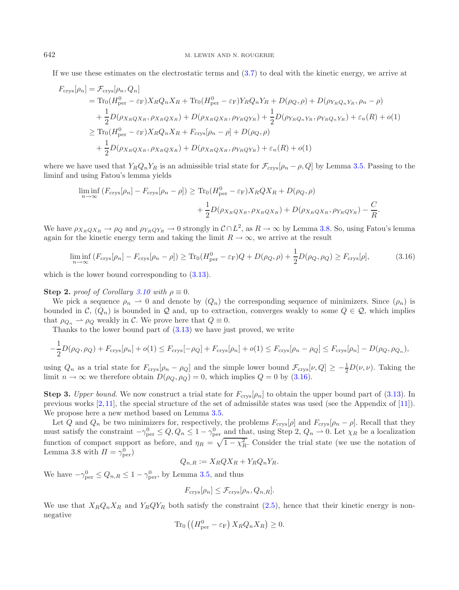If we use these estimates on the electrostatic terms and [\(3.7\)](#page-9-1) to deal with the kinetic energy, we arrive at

$$
F_{\text{crys}}[\rho_n] = \mathcal{F}_{\text{crys}}[\rho_n, Q_n]
$$
  
=  $\text{Tr}_0(H_{\text{per}}^0 - \varepsilon_F) X_R Q_n X_R + \text{Tr}_0(H_{\text{per}}^0 - \varepsilon_F) Y_R Q_n Y_R + D(\rho_Q, \rho) + D(\rho_{Y_R Q_n Y_R, \rho_n - \rho)$   
+  $\frac{1}{2} D(\rho_{X_R Q X_R, \rho_{X_R Q X_R}) + D(\rho_{X_R Q X_R, \rho_{Y_R Q Y_R}) + \frac{1}{2} D(\rho_{Y_R Q_n Y_R, \rho_{Y_R Q_n Y_R}) + \varepsilon_n(R) + o(1)$   
 $\ge \text{Tr}_0(H_{\text{per}}^0 - \varepsilon_F) X_R Q_n X_R + F_{\text{crys}}[\rho_n - \rho] + D(\rho_Q, \rho)$   
+  $\frac{1}{2} D(\rho_{X_R Q X_R, \rho_{X_R Q X_R}) + D(\rho_{X_R Q X_R, \rho_{Y_R Q Y_R}) + \varepsilon_n(R) + o(1)$ 

where we have used that  $Y_RQ_nY_R$  is an admissible trial state for  $\mathcal{F}_{\text{crys}}[\rho_n - \rho, Q]$  by Lemma [3.5.](#page-10-0) Passing to the liminf and using Fatou's lemma yields

<span id="page-13-0"></span>
$$
\liminf_{n \to \infty} (F_{\text{crys}}[\rho_n] - F_{\text{crys}}[\rho_n - \rho]) \ge \text{Tr}_0(H_{\text{per}}^0 - \varepsilon_F) X_R Q X_R + D(\rho_Q, \rho)
$$
  
+ 
$$
\frac{1}{2} D(\rho_{X_R Q X_R}, \rho_{X_R Q X_R}) + D(\rho_{X_R Q X_R}, \rho_{Y_R Q Y_R}) - \frac{C}{R}.
$$

We have  $\rho_{X_RQX_R} \to \rho_Q$  and  $\rho_{Y_RQY_R} \to 0$  strongly in  $C \cap L^2$ , as  $R \to \infty$  by Lemma [3.8.](#page-11-3) So, using Fatou's lemma<br>again for the kinetic energy term and taking the limit  $R \to \infty$  we arrive at the result again for the kinetic energy term and taking the limit  $R \to \infty$ , we arrive at the result

$$
\liminf_{n \to \infty} \left( F_{\text{crys}}[\rho_n] - F_{\text{crys}}[\rho_n - \rho] \right) \ge \text{Tr}_0(H_{\text{per}}^0 - \varepsilon_F)Q + D(\rho_Q, \rho) + \frac{1}{2}D(\rho_Q, \rho_Q) \ge F_{\text{crys}}[\rho],\tag{3.16}
$$

which is the lower bound corresponding to  $(3.13)$ .

#### **Step 2.** *proof of Corollary [3.10](#page-12-0) with*  $\rho \equiv 0$ .

We pick a sequence  $\rho_n \rightharpoonup 0$  and denote by  $(Q_n)$  the corresponding sequence of minimizers. Since  $(\rho_n)$  is bounded in C,  $(Q_n)$  is bounded in Q and, up to extraction, converges weakly to some  $Q \in \mathcal{Q}$ , which implies that  $\rho_{Q_n} \rightharpoonup \rho_Q$  weakly in C. We prove here that  $Q \equiv 0$ .

Thanks to the lower bound part of  $(3.13)$  we have just proved, we write

$$
-\frac{1}{2}D(\rho_Q, \rho_Q) + F_{\text{crys}}[\rho_n] + o(1) \leq F_{\text{crys}}[-\rho_Q] + F_{\text{crys}}[\rho_n] + o(1) \leq F_{\text{crys}}[\rho_n - \rho_Q] \leq F_{\text{crys}}[\rho_n] - D(\rho_Q, \rho_{Q_n}),
$$

using  $Q_n$  as a trial state for  $F_{\text{crys}}[\rho_n - \rho_Q]$  and the simple lower bound  $\mathcal{F}_{\text{crys}}[\nu, Q] \ge -\frac{1}{2}D(\nu, \nu)$ . Taking the limit  $n \to \infty$  we therefore obtain  $D(\rho_Q, \rho_Q) = 0$ , which implies  $Q = 0$  by [\(3.16\)](#page-13-0).

**Step 3.** *Upper bound.* We now construct a trial state for  $F_{\text{crys}}[\rho_n]$  to obtain the upper bound part of [\(3.13\)](#page-11-1). In previous works [\[2,](#page-26-1) [11\]](#page-27-22), the special structure of the set of admissible states was used (see the Appendix of [\[11](#page-27-22)]). We propose here a new method based on Lemma [3.5.](#page-10-0)

Let Q and  $Q_n$  be two minimizers for, respectively, the problems  $F_{\text{crys}}[\rho]$  and  $F_{\text{crys}}[\rho_n - \rho]$ . Recall that they must satisfy the constraint  $-\gamma_{\text{per}}^0 \leq Q$ ,  $Q_n \leq 1 - \gamma_{\text{per}}^0$  and that, using Step 2,  $Q_n \to 0$ . Let  $\chi_R$  be a localization function of compact support as before, and  $\eta_R = \sqrt{1 - \chi_R^2}$ . Consider the trial state (we use the notation of Lemma 3.8 with  $H - \gamma_0^0$ ) Lemma 3.8 with  $\Pi = \gamma_{\text{per}}^0$ )

$$
Q_{n,R} := X_R Q X_R + Y_R Q_n Y_R.
$$

We have  $-\gamma_{\text{per}}^0 \leq Q_{n,R} \leq 1 - \gamma_{\text{per}}^0$ , by Lemma [3.5,](#page-10-0) and thus

$$
F_{\rm crys}[\rho_n] \leq \mathcal{F}_{\rm crys}[\rho_n, Q_{n,R}].
$$

We use that  $X_RQ_nX_R$  and  $Y_RQY_R$  both satisfy the constraint [\(2.5\)](#page-4-2), hence that their kinetic energy is nonnegative

$$
\operatorname{Tr}_0\left(\left(H_{\text{per}}^0 - \varepsilon_{\text{F}}\right)X_RQ_nX_R\right) \geq 0.
$$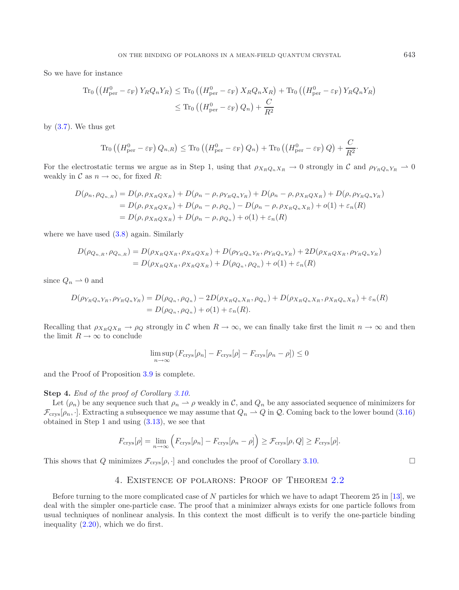So we have for instance

$$
\operatorname{Tr}_0 \left( \left( H_{\text{per}}^0 - \varepsilon_{\text{F}} \right) Y_R Q_n Y_R \right) \le \operatorname{Tr}_0 \left( \left( H_{\text{per}}^0 - \varepsilon_{\text{F}} \right) X_R Q_n X_R \right) + \operatorname{Tr}_0 \left( \left( H_{\text{per}}^0 - \varepsilon_{\text{F}} \right) Y_R Q_n Y_R \right) \le \operatorname{Tr}_0 \left( \left( H_{\text{per}}^0 - \varepsilon_{\text{F}} \right) Q_n \right) + \frac{C}{R^2}
$$

by [\(3.7\)](#page-9-1). We thus get

$$
\operatorname{Tr}_0\left(\left(H_{\mathrm{per}}^0-\varepsilon_{\mathrm{F}}\right)Q_{n,R}\right)\leq \operatorname{Tr}_0\left(\left(H_{\mathrm{per}}^0-\varepsilon_{\mathrm{F}}\right)Q_n\right)+\operatorname{Tr}_0\left(\left(H_{\mathrm{per}}^0-\varepsilon_{\mathrm{F}}\right)Q\right)+\frac{C}{R^2}.
$$

For the electrostatic terms we argue as in Step 1, using that  $\rho_{X_RQ_nX_R} \to 0$  strongly in C and  $\rho_{Y_RQ_nY_R} \to 0$ weakly in  $\mathcal C$  as  $n \to \infty$ , for fixed R:

$$
D(\rho_n, \rho_{Q_{n,R}}) = D(\rho, \rho_{X_R Q X_R}) + D(\rho_n - \rho, \rho_{Y_R Q_n Y_R}) + D(\rho_n - \rho, \rho_{X_R Q X_R}) + D(\rho, \rho_{Y_R Q_n Y_R})
$$
  
=  $D(\rho, \rho_{X_R Q X_R}) + D(\rho_n - \rho, \rho_{Q_n}) - D(\rho_n - \rho, \rho_{X_R Q_n X_R}) + o(1) + \varepsilon_n(R)$   
=  $D(\rho, \rho_{X_R Q X_R}) + D(\rho_n - \rho, \rho_{Q_n}) + o(1) + \varepsilon_n(R)$ 

where we have used  $(3.8)$  again. Similarly

$$
D(\rho_{Q_{n,R}}, \rho_{Q_{n,R}}) = D(\rho_{X_RQX_R}, \rho_{X_RQX_R}) + D(\rho_{Y_RQ_nY_R}, \rho_{Y_RQ_nY_R}) + 2D(\rho_{X_RQX_R}, \rho_{Y_RQ_nY_R})
$$
  
= 
$$
D(\rho_{X_RQX_R}, \rho_{X_RQX_R}) + D(\rho_{Q_n}, \rho_{Q_n}) + o(1) + \varepsilon_n(R)
$$

since  $Q_n \rightharpoonup 0$  and

$$
D(\rho_{Y_RQ_nY_R}, \rho_{Y_RQ_nY_R}) = D(\rho_{Q_n}, \rho_{Q_n}) - 2D(\rho_{X_RQ_nX_R}, \rho_{Q_n}) + D(\rho_{X_RQ_nX_R}, \rho_{X_RQ_nX_R}) + \varepsilon_n(R) = D(\rho_{Q_n}, \rho_{Q_n}) + o(1) + \varepsilon_n(R).
$$

Recalling that  $\rho_{X_RQX_R} \to \rho_Q$  strongly in C when  $R \to \infty$ , we can finally take first the limit  $n \to \infty$  and then the limit  $R \to \infty$  to conclude

$$
\limsup_{n \to \infty} (F_{\text{crys}}[\rho_n] - F_{\text{crys}}[\rho] - F_{\text{crys}}[\rho_n - \rho]) \le 0
$$

and the Proof of Proposition [3.9](#page-11-2) is complete.

## **Step 4.** *End of the proof of Corollary [3.10.](#page-12-0)*

Let  $(\rho_n)$  be any sequence such that  $\rho_n \to \rho$  weakly in C, and  $Q_n$  be any associated sequence of minimizers for  $\mathcal{F}_{\text{crys}}[\rho_n, \cdot]$ . Extracting a subsequence we may assume that  $Q_n \to Q$  in  $\mathcal{Q}$ . Coming back to the lower bound [\(3.16\)](#page-13-0) obtained in Step 1 and using  $(3.13)$ , we see that

$$
F_{\rm crys}[\rho] = \lim_{n \to \infty} \left( F_{\rm crys}[\rho_n] - F_{\rm crys}[\rho_n - \rho] \right) \geq \mathcal{F}_{\rm crys}[\rho, Q] \geq F_{\rm crys}[\rho].
$$

<span id="page-14-0"></span>This shows that Q minimizes  $\mathcal{F}_{\text{crys}}[\rho, \cdot]$  and concludes the proof of Corollary [3.10.](#page-12-0)

Before turning to the more complicated case of  $N$  particles for which we have to adapt Theorem 25 in [\[13](#page-27-9)], we deal with the simpler one-particle case. The proof that a minimizer always exists for one particle follows from usual techniques of nonlinear analysis. In this context the most difficult is to verify the one-particle binding inequality [\(2.20\)](#page-6-0), which we do first.

4. Existence of polarons: Proof of Theorem [2.2](#page-6-3)

 $\Box$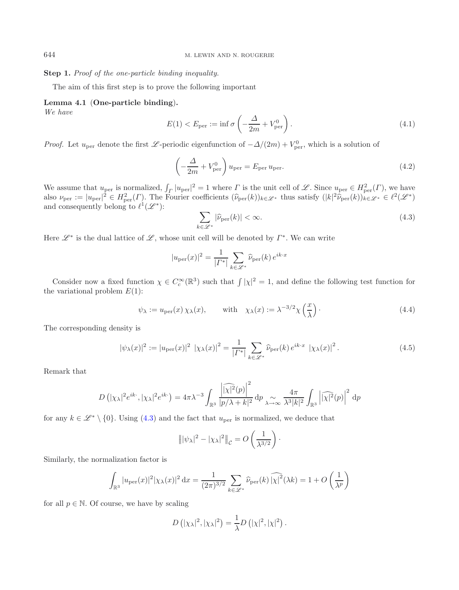<span id="page-15-4"></span>**Step 1.** *Proof of the one-particle binding inequality.*

<span id="page-15-0"></span>The aim of this first step is to prove the following important

### **Lemma 4.1** (**One-particle binding**)**.**

*We have*

<span id="page-15-1"></span>
$$
E(1) < E_{\text{per}} := \inf \sigma \left( -\frac{\Delta}{2m} + V_{\text{per}}^0 \right). \tag{4.1}
$$

*Proof.* Let  $u_{\text{per}}$  denote the first  $\mathscr{L}\text{-periodic eigenfunction of } -\Delta/(2m) + V_{\text{per}}^0$ , which is a solution of

$$
\left(-\frac{\Delta}{2m} + V_{\text{per}}^0\right)u_{\text{per}} = E_{\text{per}}u_{\text{per}}.
$$
\n(4.2)

<span id="page-15-3"></span>We assume that  $u_{\text{per}}$  is normalized,  $\int_{\Gamma} |u_{\text{per}}|^2 = 1$  where  $\Gamma$  is the unit cell of  $\mathscr{L}$ . Since  $u_{\text{per}} \in H^2_{\text{per}}(\Gamma)$ , we have also  $u_{\text{per}} \in H^2_{\text{per}}(\Gamma)$ , we have also  $u_{\text{per}} \in [u_{\text{per}}]^2 \in H^2(\Gamma)$ . The F also  $\nu_{\text{per}} := |u_{\text{per}}|^2 \in H^2_{\text{per}}(\Gamma)$ . The Fourier coefficients  $(\widehat{\nu}_{\text{per}}(k))_{k \in \mathscr{L}^*}$  thus satisfy  $(|k|^2 \widehat{\nu}_{\text{per}}(k))_{k \in \mathscr{L}^*} \in \ell^2(\mathscr{L}^*)$ and consequently belong to  $\ell^1(\mathscr{L}^*)$ :

$$
\sum_{k \in \mathcal{L}^*} |\widehat{\nu}_{\text{per}}(k)| < \infty. \tag{4.3}
$$

Here  $\mathscr{L}^*$  is the dual lattice of  $\mathscr{L}$ , whose unit cell will be denoted by  $\Gamma^*$ . We can write

$$
|u_{\rm per}(x)|^2 = \frac{1}{|\varGamma^*|} \sum_{k \in \mathscr{L}^*} \widehat{\nu}_{\rm per}(k) e^{ik \cdot x}
$$

Consider now a fixed function  $\chi \in C_c^{\infty}(\mathbb{R}^3)$  such that  $\int |\chi|^2 = 1$ , and define the following test function for the variational problem  $E(1)$ :

$$
\psi_{\lambda} := u_{\text{per}}(x) \chi_{\lambda}(x), \quad \text{with} \quad \chi_{\lambda}(x) := \lambda^{-3/2} \chi\left(\frac{x}{\lambda}\right). \tag{4.4}
$$

The corresponding density is

$$
|\psi_{\lambda}(x)|^{2} := |u_{\text{per}}(x)|^{2} \, |\chi_{\lambda}(x)|^{2} = \frac{1}{|T^{*}|} \sum_{k \in \mathscr{L}^{*}} \widehat{\nu}_{\text{per}}(k) \, e^{ik \cdot x} \, |\chi_{\lambda}(x)|^{2} \,. \tag{4.5}
$$

Remark that

$$
D\left(|\chi_{\lambda}|^{2}e^{ik\cdot},|\chi_{\lambda}|^{2}e^{ik\cdot}\right) = 4\pi\lambda^{-3} \int_{\mathbb{R}^{3}} \frac{\left|\widehat{|x|^{2}(p)}\right|^{2}}{|p/\lambda + k|^{2}} dp \sum_{\lambda \to \infty} \frac{4\pi}{\lambda^{3}|k|^{2}} \int_{\mathbb{R}^{3}} \left|\widehat{|\chi|^{2}(p)}\right|^{2} dp
$$

for any  $k \in \mathcal{L}^* \setminus \{0\}$ . Using [\(4.3\)](#page-15-0) and the fact that  $u_{\text{per}}$  is normalized, we deduce that

$$
\|\psi_\lambda|^2 - |\chi_\lambda|^2\|_{\mathcal{C}} = O\left(\frac{1}{\lambda^{3/2}}\right).
$$

Similarly, the normalization factor is

$$
\int_{\mathbb{R}^3} |u_{\rm per}(x)|^2 |\chi_\lambda(x)|^2 dx = \frac{1}{(2\pi)^{3/2}} \sum_{k \in \mathscr{L}^*} \widehat{\nu}_{\rm per}(k) \widehat{|\chi|^2}(\lambda k) = 1 + O\left(\frac{1}{\lambda^p}\right)
$$

for all  $p \in \mathbb{N}$ . Of course, we have by scaling

$$
D\left(|\chi_{\lambda}|^2,|\chi_{\lambda}|^2\right) = \frac{1}{\lambda}D\left(|\chi|^2,|\chi|^2\right).
$$

<span id="page-15-2"></span>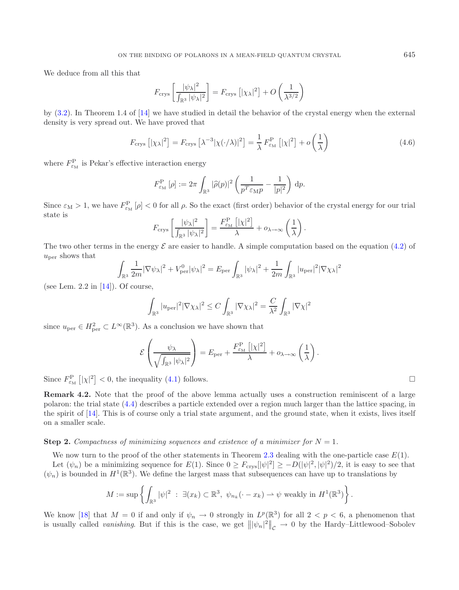We deduce from all this that

$$
F_{\rm crys}\left[\frac{|\psi_{\lambda}|^2}{\int_{\mathbb{R}^3} |\psi_{\lambda}|^2}\right] = F_{\rm crys}\left[|\chi_{\lambda}|^2\right] + O\left(\frac{1}{\lambda^{3/2}}\right)
$$

by [\(3.2\)](#page-7-3). In Theorem 1.4 of [\[14\]](#page-27-10) we have studied in detail the behavior of the crystal energy when the external density is very spread out. We have proved that

$$
F_{\rm crys} \left[ |\chi_\lambda|^2 \right] = F_{\rm crys} \left[ \lambda^{-3} |\chi(\cdot/\lambda)|^2 \right] = \frac{1}{\lambda} F_{\varepsilon_M}^{\rm P} \left[ |\chi|^2 \right] + o\left(\frac{1}{\lambda}\right)
$$
\n(4.6)

where  $F_{\varepsilon_{\rm M}}^{\rm P}$  is Pekar's effective interaction energy

$$
F_{\varepsilon_{\rm M}}^{\rm P}[\rho] := 2\pi \int_{\mathbb{R}^3} |\widehat{\rho}(p)|^2 \left( \frac{1}{p^T \varepsilon_{\rm M} p} - \frac{1}{|p|^2} \right) \, \mathrm{d}p.
$$

Since  $\varepsilon_M > 1$ , we have  $F_{\varepsilon_M}^{\mathcal{P}}[\rho] < 0$  for all  $\rho$ . So the exact (first order) behavior of the crystal energy for our trial state is state is

$$
F_{\rm crys}\left[\frac{|\psi_\lambda|^2}{\int_{\mathbb{R}^3} |\psi_\lambda|^2}\right] = \frac{F_{\varepsilon_{\rm M}}^{\rm P}\left[|\chi|^2\right]}{\lambda} + o_{\lambda \to \infty}\left(\frac{1}{\lambda}\right).
$$

The two other terms in the energy  $\mathcal E$  are easier to handle. A simple computation based on the equation  $(4.2)$  of  $u_{\text{per}}$  shows that

$$
\int_{\mathbb{R}^3} \frac{1}{2m} |\nabla \psi_\lambda|^2 + V_{\text{per}}^0 |\psi_\lambda|^2 = E_{\text{per}} \int_{\mathbb{R}^3} |\psi_\lambda|^2 + \frac{1}{2m} \int_{\mathbb{R}^3} |u_{\text{per}}|^2 |\nabla \chi_\lambda|^2
$$

(see Lem. 2.2 in  $[14]$  $[14]$ ). Of course,

$$
\int_{\mathbb{R}^3}|u_{\rm per}|^2|\nabla\chi_\lambda|^2\leq C\int_{\mathbb{R}^3}|\nabla\chi_\lambda|^2=\frac{C}{\lambda^2}\int_{\mathbb{R}^3}|\nabla\chi|^2
$$

since  $u_{\text{per}} \in H^2_{\text{per}} \subset L^{\infty}(\mathbb{R}^3)$ . As a conclusion we have shown that

$$
\mathcal{E}\left(\frac{\psi_{\lambda}}{\sqrt{\int_{\mathbb{R}^{3}}|\psi_{\lambda}|^{2}}}\right) = E_{\text{per}} + \frac{F_{\varepsilon_{\text{M}}}^{\text{P}}\left[|\chi|^{2}\right]}{\lambda} + o_{\lambda \to \infty}\left(\frac{1}{\lambda}\right).
$$

Since  $F_{\varepsilon_{\rm M}}^{\rm P} \left[|\chi|^2\right] < 0$ , the inequality [\(4.1\)](#page-15-2) follows.

**Remark 4.2.** Note that the proof of the above lemma actually uses a construction reminiscent of a large polaron: the trial state [\(4.4\)](#page-15-3) describes a particle extended over a region much larger than the lattice spacing, in the spirit of [\[14](#page-27-10)]. This is of course only a trial state argument, and the ground state, when it exists, lives itself on a smaller scale.

## **Step 2.** *Compactness of minimizing sequences and existence of a minimizer for*  $N = 1$ .

We now turn to the proof of the other statements in Theorem [2.3](#page-6-2) dealing with the one-particle case  $E(1)$ . Let  $(\psi_n)$  be a minimizing sequence for  $E(1)$ . Since  $0 \geq F_{\text{crys}}[\psi]^2 \geq -D(|\psi|^2, |\psi|^2)/2$ , it is easy to see that <br>is bounded in  $H^1(\mathbb{R}^3)$ . We define the largest mass that subsequences can have up to translations by  $(\psi_n)$  is bounded in  $H^1(\mathbb{R}^3)$ . We define the largest mass that subsequences can have up to translations by

$$
M := \sup \left\{ \int_{\mathbb{R}^3} |\psi|^2 \ : \ \exists (x_k) \subset \mathbb{R}^3, \ \psi_{n_k}(\cdot - x_k) \to \psi \text{ weakly in } H^1(\mathbb{R}^3) \right\}.
$$

We know [\[18](#page-27-12)] that  $M = 0$  if and only if  $\psi_n \to 0$  strongly in  $L^p(\mathbb{R}^3)$  for all  $2 < p < 6$ , a phenomenon that is usually called *vanishing*. But if this is the case, we get  $\|\psi_n|^2\|_{\mathcal{C}} \to 0$  by the Hardy–Littlewood–Sobolev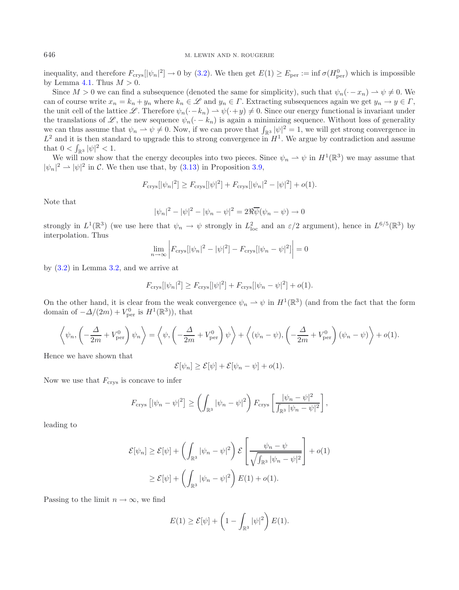inequality, and therefore  $F_{\text{crys}}[\psi_n]^2 \to 0$  by [\(3.2\)](#page-7-3). We then get  $E(1) \geq E_{\text{per}} := \inf \sigma(H_{\text{per}}^0)$  which is impossible<br>by Lemma 4.1. Thus  $M > 0$ by Lemma [4.1.](#page-15-4) Thus  $M > 0$ .

Since  $M > 0$  we can find a subsequence (denoted the same for simplicity), such that  $\psi_n(\cdot - x_n) \to \psi \neq 0$ . We controller that  $\psi_n(x) = \psi(x)$  where  $x_n \in \mathcal{L}$  and  $y_n \in \Gamma$ . Extracting subsequences again we get  $y_n \to y \in \Gamma$ can of course write  $x_n = k_n + y_n$  where  $k_n \in \mathcal{L}$  and  $y_n \in \Gamma$ . Extracting subsequences again we get  $y_n \to y \in \Gamma$ , the unit cell of the lattice *L*. Therefore  $\psi_n(\cdot - k_n) \to \psi(\cdot + y) \neq 0$ . Since our energy functional is invariant under<br>the translations of *L* the new sequence  $\psi_n(\cdot - k_n)$  is again a minimizing sequence. Without loss of ge the translations of *L*, the new sequence  $\psi_n(\cdot - k_n)$  is again a minimizing sequence. Without loss of generality we can thus assume that  $\psi_n \rightharpoonup \psi \neq 0$ . Now, if we can prove that  $\int_{\mathbb{R}^3} |\psi|^2 = 1$ , we will get strong convergence in  $L^2$  and it is then standard to upgrade this to strong convergence in  $H^1$ . We argue by cont  $L^2$  and it is then standard to upgrade this to strong convergence in  $H^1$ . We argue by contradiction and assume that  $0 < \int_{\mathbb{R}^3} |\psi|^2 < 1$ .<br>We will now show

We will now show that the energy decouples into two pieces. Since  $\psi_n \rightharpoonup \psi$  in  $H^1(\mathbb{R}^3)$  we may assume that  $|\psi_n|^2 \rightharpoonup |\psi|^2$  in C. We then use that, by [\(3.13\)](#page-11-1) in Proposition [3.9,](#page-11-2)

$$
F_{\rm crys}[|\psi_n|^2] \ge F_{\rm crys}[|\psi|^2] + F_{\rm crys}[|\psi_n|^2 - |\psi|^2] + o(1).
$$

Note that

$$
|\psi_n|^2 - |\psi|^2 - |\psi_n - \psi|^2 = 2\Re\overline{\psi}(\psi_n - \psi) \to 0
$$

strongly in  $L^1(\mathbb{R}^3)$  (we use here that  $\psi_n \to \psi$  strongly in  $L^2_{\text{loc}}$  and an  $\varepsilon/2$  argument), hence in  $L^{6/5}(\mathbb{R}^3)$  by interpolation. Thus

$$
\lim_{n \to \infty} \left| F_{\text{crys}} [|\psi_n|^2 - |\psi|^2] - F_{\text{crys}} [|\psi_n - \psi|^2] \right| = 0
$$

by [\(3.2\)](#page-7-3) in Lemma [3.2,](#page-7-4) and we arrive at

$$
F_{\text{crys}}[|\psi_n|^2] \ge F_{\text{crys}}[|\psi|^2] + F_{\text{crys}}[|\psi_n - \psi|^2] + o(1).
$$

On the other hand, it is clear from the weak convergence  $\psi_n \rightharpoonup \psi$  in  $H^1(\mathbb{R}^3)$  (and from the fact that the form domain of  $-\Delta/(2m) + V_{\text{per}}^0$  is  $H^1(\mathbb{R}^3)$ , that

$$
\left\langle \psi_n, \left( -\frac{\Delta}{2m} + V_{\text{per}}^0 \right) \psi_n \right\rangle = \left\langle \psi, \left( -\frac{\Delta}{2m} + V_{\text{per}}^0 \right) \psi \right\rangle + \left\langle (\psi_n - \psi), \left( -\frac{\Delta}{2m} + V_{\text{per}}^0 \right) (\psi_n - \psi) \right\rangle + o(1).
$$

Hence we have shown that

$$
\mathcal{E}[\psi_n] \ge \mathcal{E}[\psi] + \mathcal{E}[\psi_n - \psi] + o(1).
$$

Now we use that  $F_{\text{crys}}$  is concave to infer

$$
F_{\rm crys}\left[|\psi_n - \psi|^2\right] \ge \left(\int_{\mathbb{R}^3} |\psi_n - \psi|^2\right) F_{\rm crys}\left[\frac{|\psi_n - \psi|^2}{\int_{\mathbb{R}^3} |\psi_n - \psi|^2}\right],
$$

leading to

$$
\mathcal{E}[\psi_n] \ge \mathcal{E}[\psi] + \left(\int_{\mathbb{R}^3} |\psi_n - \psi|^2\right) \mathcal{E}\left[\frac{\psi_n - \psi}{\sqrt{\int_{\mathbb{R}^3} |\psi_n - \psi|^2}}\right] + o(1)
$$
  

$$
\ge \mathcal{E}[\psi] + \left(\int_{\mathbb{R}^3} |\psi_n - \psi|^2\right) E(1) + o(1).
$$

Passing to the limit  $n \to \infty$ , we find

$$
E(1) \geq \mathcal{E}[\psi] + \left(1 - \int_{\mathbb{R}^3} |\psi|^2\right) E(1).
$$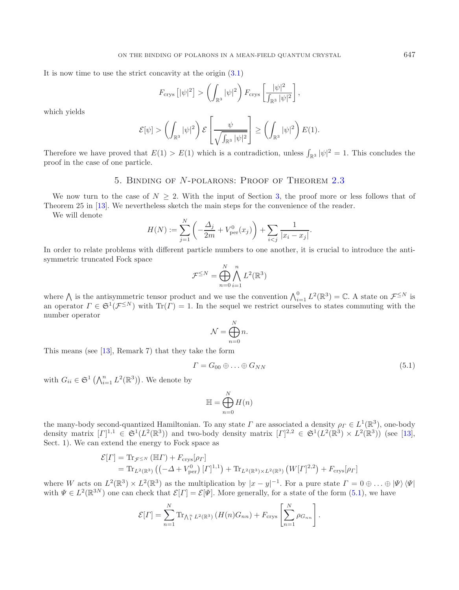$$
F_{\rm crys}\left[|\psi|^2\right] > \left(\int_{\mathbb{R}^3} |\psi|^2\right) F_{\rm crys}\left[\frac{|\psi|^2}{\int_{\mathbb{R}^3} |\psi|^2}\right],
$$

which yields

$$
\mathcal{E}[\psi] > \left(\int_{\mathbb{R}^3} |\psi|^2\right) \mathcal{E}\left[\frac{\psi}{\sqrt{\int_{\mathbb{R}^3} |\psi|^2}}\right] \ge \left(\int_{\mathbb{R}^3} |\psi|^2\right) E(1).
$$

<span id="page-18-0"></span>Therefore we have proved that  $E(1) > E(1)$  which is a contradiction, unless  $\int_{\mathbb{R}^3} |\psi|^2 = 1$ . This concludes the proof in the case of one particle proof in the case of one particle.

# 5. Binding of *N*-polarons: Proof of Theorem [2.3](#page-6-2)

We now turn to the case of  $N \geq 2$ . With the input of Section [3,](#page-7-0) the proof more or less follows that of Theorem 25 in [\[13\]](#page-27-9). We nevertheless sketch the main steps for the convenience of the reader.

We will denote

$$
H(N) := \sum_{j=1}^{N} \left( -\frac{\Delta_j}{2m} + V_{\text{per}}^0(x_j) \right) + \sum_{i < j} \frac{1}{|x_i - x_j|}.
$$

 $j=1$  is  $i < j$  in  $i < j$  in  $i < j$  in  $i < j$  in  $i < j$  in  $i < j$  in  $i < j$  in troduce the anti-<br>In order to relate problems with different particle numbers to one another, it is crucial to introduce the antisymmetric truncated Fock space

<span id="page-18-1"></span>
$$
\mathcal{F}^{\leq N} = \bigoplus_{n=0}^{N} \bigwedge_{i=1}^{n} L^{2}(\mathbb{R}^{3})
$$

where  $\bigwedge$  is the antisymmetric tensor product and we use the convention  $\bigwedge_{i=1}^{0} L^{2}(\mathbb{R}^{3}) = \mathbb{C}$ . A state on  $\mathcal{F}^{\leq N}$  is<br>an operator  $\Gamma \in \mathfrak{S}^{1}(\mathcal{F}^{\leq N})$  with  $Tr(\Gamma) = 1$ . In the sequel we restric an operator  $\Gamma \in \mathfrak{S}^1(\mathcal{F}^{\leq N})$  with  $\text{Tr}(\Gamma) = 1$ . In the sequel we restrict ourselves to states commuting with the number operator number operator

$$
\mathcal{N} = \bigoplus_{n=0}^{N} n.
$$

This means (see [\[13\]](#page-27-9), Remark 7) that they take the form

$$
\Gamma = G_{00} \oplus \ldots \oplus G_{NN} \tag{5.1}
$$

with  $G_{ii} \in \mathfrak{S}^1 \left( \bigwedge_{i=1}^n L^2(\mathbb{R}^3) \right)$ . We denote by

$$
\mathbb{H} = \bigoplus_{n=0}^{N} H(n)
$$

the many-body second-quantized Hamiltonian. To any state Γ are associated a density  $\rho_{\Gamma} \in L^1(\mathbb{R}^3)$ , one-body density matrix  $[I]^{1,1} \in \mathfrak{S}^1(L^2(\mathbb{R}^3))$  and two-body density matrix  $[I]^{2,2} \in \mathfrak{S}^1(L^2(\mathbb{R}^3) \times L^2(\mathbb{R}^3))$  (see [\[13](#page-27-9)], Sect. 1). We can extend the energy to Fock space as

$$
\mathcal{E}[\Gamma] = \text{Tr}_{\mathcal{F}^{\leq N}} (\mathbb{H}\Gamma) + F_{\text{crys}}[\rho_\Gamma]
$$
  
= 
$$
\text{Tr}_{L^2(\mathbb{R}^3)} ((-\Delta + V_{\text{per}}^0) [\Gamma]^{1,1}) + \text{Tr}_{L^2(\mathbb{R}^3) \times L^2(\mathbb{R}^3)} (W[\Gamma]^{2,2}) + F_{\text{crys}}[\rho_\Gamma]
$$

where W acts on  $L^2(\mathbb{R}^3) \times L^2(\mathbb{R}^3)$  as the multiplication by  $|x - y|^{-1}$ . For a pure state  $\Gamma = 0 \oplus \ldots \oplus |\Psi\rangle \langle \Psi|$ <br>with  $\Psi \in L^2(\mathbb{R}^{3N})$  one can check that  $\mathcal{E}[\Gamma] = \mathcal{E}[\Psi]$ . More generally for a state of with  $\Psi \in L^2(\mathbb{R}^{3N})$  one can check that  $\mathcal{E}[{\Gamma}] = \mathcal{E}[\Psi]$ . More generally, for a state of the form  $(5.1)$ , we have

$$
\mathcal{E}[T] = \sum_{n=1}^{N} \text{Tr}_{\bigwedge_{1}^{n} L^{2}(\mathbb{R}^{3})} \left( H(n)G_{nn} \right) + F_{\text{crys}} \left[ \sum_{n=1}^{N} \rho_{G_{nn}} \right].
$$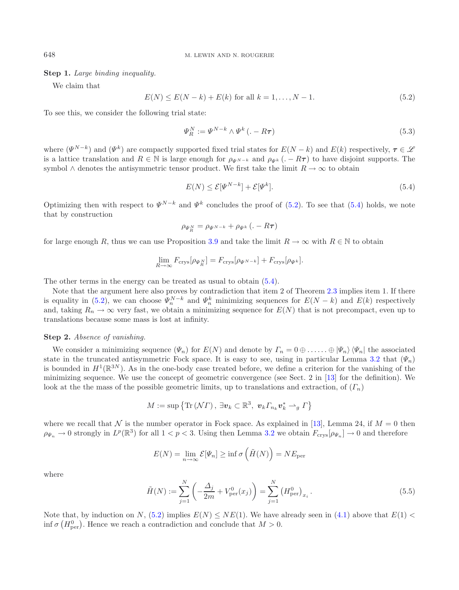**Step 1.** *Large binding inequality.*

We claim that

$$
E(N) \le E(N - k) + E(k) \text{ for all } k = 1, ..., N - 1.
$$
 (5.2)

To see this, we consider the following trial state:

<span id="page-19-1"></span>
$$
\Psi_R^N := \Psi^{N-k} \wedge \Psi^k \left( . - R\tau \right) \tag{5.3}
$$

where  $(\Psi^{N-k})$  and  $(\Psi^k)$  are compactly supported fixed trial states for  $E(N-k)$  and  $E(k)$  respectively,  $\tau \in \mathscr{L}$ is a lattice translation and  $R \in \mathbb{N}$  is large enough for  $\rho_{\Psi^{N-k}}$  and  $\rho_{\Psi^k}$  (.  $-R\tau$ ) to have disjoint supports. The symbol  $\wedge$  denotes the antisymmetric tensor product. We first take the limit  $R \to \infty$  to obtain

$$
E(N) \le \mathcal{E}[\Psi^{N-k}] + \mathcal{E}[\Psi^k].
$$
\n(5.4)

Optimizing then with respect to  $\Psi^{N-k}$  and  $\Psi^k$  concludes the proof of [\(5.2\)](#page-19-0). To see that [\(5.4\)](#page-19-1) holds, we note that by construction

$$
\rho_{\Psi_{R}^{N}}=\rho_{\Psi^{N-k}}+\rho_{\Psi^{k}}\left( .-R\boldsymbol{\tau}\right)
$$

for large enough R, thus we can use Proposition [3.9](#page-11-2) and take the limit  $R \to \infty$  with  $R \in \mathbb{N}$  to obtain

$$
\lim_{R \to \infty} F_{\text{crys}}[\rho_{\Psi_R^N}] = F_{\text{crys}}[\rho_{\Psi^{N-k}}] + F_{\text{crys}}[\rho_{\Psi^k}].
$$

The other terms in the energy can be treated as usual to obtain [\(5.4\)](#page-19-1).

Note that the argument here also proves by contradiction that item 2 of Theorem [2.3](#page-6-2) implies item 1. If there is equality in [\(5.2\)](#page-19-0), we can choose  $\Psi_n^{N-k}$  and  $\Psi_n^k$  minimizing sequences for  $E(N-k)$  and  $E(k)$  respectively<br>and taking  $R \to \infty$  very fast, we obtain a minimizing sequence for  $E(N)$  that is not precompact, even up to and, taking  $R_n \to \infty$  very fast, we obtain a minimizing sequence for  $E(N)$  that is not precompact, even up to translations because some mass is lost at infinity.

#### **Step 2.** *Absence of vanishing.*

We consider a minimizing sequence  $(\Psi_n)$  for  $E(N)$  and denote by  $\Gamma_n = 0 \oplus \ldots \oplus |\Psi_n\rangle \langle \Psi_n|$  the associated state in the truncated antisymmetric Fock space. It is easy to see, using in particular Lemma 3.2 that  $(\Psi_n)$ state in the truncated antisymmetric Fock space. It is easy to see, using in particular Lemma [3.2](#page-7-4) that  $(\Psi_n)$ <br>is bounded in  $H^1(\mathbb{R}^{3N})$ . As in the one-body case treated before, we define a criterion for the vanishing is bounded in  $H^1(\mathbb{R}^{3N})$ . As in the one-body case treated before, we define a criterion for the vanishing of the minimizing sequence. We use the concept of geometric convergence (see Sect. 2 in [13] for the definitio minimizing sequence. We use the concept of geometric convergence (see Sect. 2 in [\[13\]](#page-27-9) for the definition). We look at the the mass of the possible geometric limits, up to translations and extraction, of  $(\Gamma_n)$ 

$$
M:=\sup\big\{{\rm Tr}\left(\mathcal{N}\Gamma\right),\,\exists\boldsymbol{v}_k\subset\mathbb{R}^3,\,\,\boldsymbol{v}_k\varGamma_{n_k}\boldsymbol{v}_k^*\rightharpoonup_g\varGamma\big\}
$$

where we recall that N is the number operator in Fock space. As explained in [\[13\]](#page-27-9), Lemma 24, if  $M = 0$  then  $\rho_{\Psi_n} \to 0$  strongly in  $L^p(\mathbb{R}^3)$  for all  $1 < p < 3$ . Using then Lemma [3.2](#page-7-4) we obtain  $F_{\text{crys}}[\rho_{\Psi_n}] \to 0$  and therefore

$$
E(N) = \lim_{n \to \infty} \mathcal{E}[\Psi_n] \ge \inf \sigma\left(\tilde{H}(N)\right) = NE_{\text{per}}
$$

where

$$
\tilde{H}(N) := \sum_{j=1}^{N} \left( -\frac{\Delta_j}{2m} + V_{\text{per}}^0(x_j) \right) = \sum_{j=1}^{N} \left( H_{\text{per}}^0 \right)_{x_i} . \tag{5.5}
$$

Note that, by induction on N, [\(5.2\)](#page-19-0) implies  $E(N) \leq NE(1)$ . We have already seen in [\(4.1\)](#page-15-2) above that  $E(1)$  < inf  $\sigma$  ( $H_{\text{per}}^{0}$ ). Hence we reach a contradiction and conclude that  $M > 0$ .

<span id="page-19-0"></span>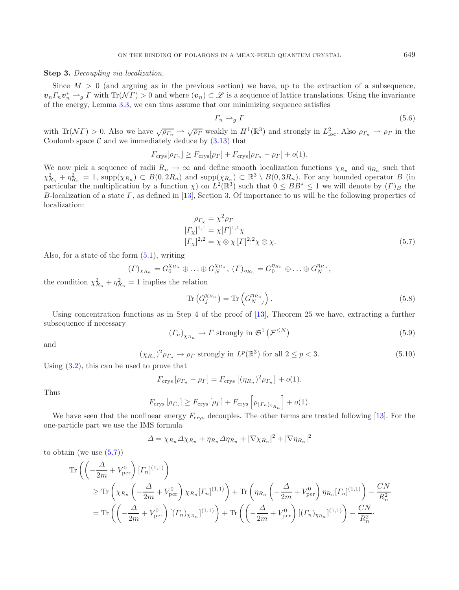## **Step 3.** *Decoupling via localization.*

Since  $M > 0$  (and arguing as in the previous section) we have, up to the extraction of a subsequence,  $v_n \Gamma_n v_n^* \rightharpoonup_g \Gamma$  with  $\text{Tr}(\mathcal{N}\Gamma) > 0$  and where  $(v_n) \subset \mathcal{L}$  is a sequence of lattice translations. Using the invariance of the energy Lemma 3.3, we can thus assume that our minimizing sequence satisfies of the energy, Lemma [3.3,](#page-8-0) we can thus assume that our minimizing sequence satisfies

$$
\Gamma_n \rightharpoonup_g \Gamma \tag{5.6}
$$

with  $\text{Tr}(\mathcal{N}\Gamma) > 0$ . Also we have  $\sqrt{\rho_{\Gamma_n}} \to \sqrt{\rho_{\Gamma}}$  weakly in  $H^1(\mathbb{R}^3)$  and strongly in  $L^2_{\text{loc}}$ . Also  $\rho_{\Gamma_n} \to \rho_{\Gamma}$  in the Coulomb space  $C$  and we immediately deduce by  $(3, 13)$  that Coulomb space  $\mathcal C$  and we immediately deduce by  $(3.13)$  that

<span id="page-20-1"></span>
$$
F_{\rm crys}[\rho_{\Gamma_n}] \geq F_{\rm crys}[\rho_{\Gamma}] + F_{\rm crys}[\rho_{\Gamma_n} - \rho_{\Gamma}] + o(1).
$$

<span id="page-20-2"></span>We now pick a sequence of radii  $R_n \to \infty$  and define smooth localization functions  $\chi_{R_n}$  and  $\eta_{R_n}$  such that  $\chi^2 + n^2 = 1$  supp $(\chi_R) \subset B(0, 2R_1)$  and supp $(\chi_R) \subset \mathbb{R}^3 \setminus B(0, 3R_1)$ . For any bounded operator B (in  $\chi_{R_n}^2 + \eta_{R_n}^2 = 1$ , supp $(\chi_{R_n}) \subset B(0, 2R_n)$  and supp $(\chi_{R_n}) \subset \mathbb{R}^3 \setminus B(0, 3R_n)$ . For any bounded operator B (in  $\chi_{R_n}$ ) and supp $(\chi_{R_n}) \subset B(3R_n)$  such that  $0 \leq BR^* \leq 1$  we will denote by (F) a the particular the multiplication by a function  $\chi$ ) on  $L^2(\mathbb{R}^3)$  such that  $0 \le BB^* \le 1$  we will denote by  $(\Gamma)_B$  the R-localization of a state  $\Gamma$  as defined in [13]. Section 3. Of importance to us will be the followi B-localization of a state Γ, as defined in [\[13](#page-27-9)], Section 3. Of importance to us will be the following properties of localization:

<span id="page-20-0"></span>
$$
\rho_{\Gamma_{\chi}} = \chi^2 \rho_{\Gamma}
$$
  
\n
$$
[\Gamma_{\chi}]^{1,1} = \chi[\Gamma]^{1,1} \chi
$$
  
\n
$$
[\Gamma_{\chi}]^{2,2} = \chi \otimes \chi[\Gamma]^{2,2} \chi \otimes \chi.
$$
\n(5.7)

Also, for a state of the form  $(5.1)$ , writing

$$
(\Gamma)_{\chi_{R_n}} = G_0^{\chi_{R_n}} \oplus \ldots \oplus G_N^{\chi_{R_n}}, (\Gamma)_{\eta_{R_n}} = G_0^{\eta_{R_n}} \oplus \ldots \oplus G_N^{\eta_{R_n}},
$$

the condition  $\chi^2_{R_n} + \eta^2_{R_n} = 1$  implies the relation

$$
\operatorname{Tr}\left(G_j^{\chi_{R_n}}\right) = \operatorname{Tr}\left(G_{N-j}^{\eta_{R_n}}\right). \tag{5.8}
$$

Using concentration functions as in Step 4 of the proof of [\[13\]](#page-27-9), Theorem 25 we have, extracting a further subsequence if necessary

$$
(T_n)_{\chi_{R_n}} \to \Gamma \text{ strongly in } \mathfrak{S}^1\left(\mathcal{F}^{\leq N}\right) \tag{5.9}
$$

and

$$
(\chi_{R_n})^2 \rho_{\Gamma_n} \to \rho_{\Gamma} \text{ strongly in } L^p(\mathbb{R}^3) \text{ for all } 2 \le p < 3. \tag{5.10}
$$

 $(\chi_{R_n})^2 \rho_{\Gamma_n} \to$ <br>Using [\(3.2\)](#page-7-3), this can be used to prove that

$$
F_{\rm crys}\left[\rho_{\Gamma_n}-\rho_{\Gamma}\right]=F_{\rm crys}\left[(\eta_{R_n})^2\rho_{\Gamma_n}\right]+o(1).
$$

Thus

$$
F_{\rm crys}\left[\rho_{\Gamma_n}\right] \geq F_{\rm crys}\left[\rho_{\Gamma}\right] + F_{\rm crys}\left[\rho_{(\Gamma_n)_{\eta_{R_n}}}\right] + o(1).
$$

We have seen that the nonlinear energy  $F_{\text{crys}}$  decouples. The other terms are treated following [\[13\]](#page-27-9). For the one-particle part we use the IMS formula

$$
\Delta = \chi_{R_n} \Delta \chi_{R_n} + \eta_{R_n} \Delta \eta_{R_n} + |\nabla \chi_{R_n}|^2 + |\nabla \eta_{R_n}|^2
$$

to obtain (we use  $(5.7)$ )

$$
\begin{split} \operatorname{Tr} \left( \left( -\frac{\Delta}{2m} + V_{\text{per}}^{0} \right) [I_{n}]^{(1,1)} \right) \\ &\geq \operatorname{Tr} \left( \chi_{R_{n}} \left( -\frac{\Delta}{2m} + V_{\text{per}}^{0} \right) \chi_{R_{n}} [I_{n}]^{(1,1)} \right) + \operatorname{Tr} \left( \eta_{R_{n}} \left( -\frac{\Delta}{2m} + V_{\text{per}}^{0} \right) \eta_{R_{n}} [I_{n}]^{(1,1)} \right) - \frac{CN}{R_{n}^{2}} \\ &= \operatorname{Tr} \left( \left( -\frac{\Delta}{2m} + V_{\text{per}}^{0} \right) [I_{n} \rangle_{\chi_{R_{n}}} ]^{(1,1)} \right) + \operatorname{Tr} \left( \left( -\frac{\Delta}{2m} + V_{\text{per}}^{0} \right) [I_{n} \rangle_{\eta_{R_{n}}} ]^{(1,1)} \right) - \frac{CN}{R_{n}^{2}} . \end{split}
$$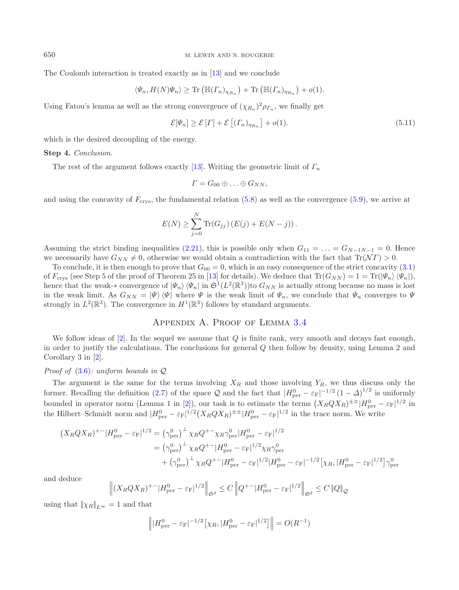The Coulomb interaction is treated exactly as in [\[13\]](#page-27-9) and we conclude

$$
\langle \Psi_n, H(N)\Psi_n \rangle \geq \text{Tr}\left(\mathbb{H}(\Gamma_n)_{\chi_{R_n}}\right) + \text{Tr}\left(\mathbb{H}(\Gamma_n)_{\eta_{R_n}}\right) + o(1).
$$

Using Fatou's lemma as well as the strong convergence of  $(\chi_{R_n})^2 \rho_{\Gamma_n}$ , we finally get

$$
\mathcal{E}[\Psi_n] \ge \mathcal{E}[T] + \mathcal{E}\left[ (T_n)_{\eta_{R_n}} \right] + o(1). \tag{5.11}
$$

which is the desired decoupling of the energy.

### **Step 4.** *Conclusion.*

The rest of the argument follows exactly [\[13\]](#page-27-9). Writing the geometric limit of  $\Gamma_n$ 

$$
\Gamma = G_{00} \oplus \ldots \oplus G_{NN},
$$

and using the concavity of  $F_{\rm crys}$ , the fundamental relation [\(5.8\)](#page-20-1) as well as the convergence [\(5.9\)](#page-20-2), we arrive at

$$
E(N) \ge \sum_{j=0}^{N} \text{Tr}(G_{jj}) (E(j) + E(N - j)).
$$

Assuming the strict binding inequalities [\(2.21\)](#page-6-1), this is possible only when  $G_{11} = \ldots = G_{N-1N-1} = 0$ . Hence we necessarily have  $G_{NN} \neq 0$ , otherwise we would obtain a contradiction with the fact that  $Tr(N \Gamma) > 0$ .<br>To conclude it is then enough to prove that  $G_{20} = 0$  which is an easy consequence of the strict concavity

To conclude, it is then enough to prove that  $G_{00} = 0$ , which is an easy consequence of the strict concavity [\(3.1\)](#page-7-2) of  $F_{\text{crys}}$  (see Step 5 of the proof of Theorem 25 in [\[13\]](#page-27-9) for details). We deduce that  $\text{Tr}(G_{NN}) = 1 = \text{Tr}(|\Psi_n\rangle \langle \Psi_n|)$ , hence that the weak-\* convergence of  $|\Psi_n\rangle \langle \Psi_n|$  in  $\mathfrak{S}^1(L^2(\mathbb{R}^3))$  to  $G_{NN}$  is actually strong because no mass is lost in the weak limit. As  $G_{NN} = |\Psi\rangle \langle \Psi|$  where  $\Psi$  is the weak limit of  $\Psi_n$ , we conclude that  $\Psi_n$  converges to  $\Psi$ strongly in  $L^2(\mathbb{R}^3)$ . The convergence in  $H^1(\mathbb{R}^3)$  follows by standard arguments.

## Appendix A. Proof of Lemma [3.4](#page-9-4)

We follow ideas of  $[2]$ . In the sequel we assume that Q is finite rank, very smooth and decays fast enough, in order to justify the calculations. The conclusions for general Q then follow by density, using Lemma 2 and Corollary 3 in [\[2\]](#page-26-1).

### *Proof of* [\(3.6\)](#page-9-3)*: uniform bounds in* Q

The argument is the same for the terms involving  $X_R$  and those involving  $Y_R$ , we thus discuss only the former. Recalling the definition [\(2.7\)](#page-4-5) of the space Q and the fact that  $|H_{\text{per}}^0 - \varepsilon_{\text{F}}|^{-1/2} (1 - \Delta)^{1/2}$  is uniformly<br>beynded in approximation party (Lamma 1 in [9]), cun task is to estimate the terms  $(X, \Omega_{X})^{+\pm$ bounded in operator norm (Lemma 1 in [\[2\]](#page-26-1)), our task is to estimate the terms  $(X_RQX_R)^{\pm\mp}|H_{\text{per}}^0 - \varepsilon_F|^{1/2}$  in the Uilbert Schmidt norm and  $|H_0| = e^{-1/2} (X_RQX_R)^{\pm\pm}|H_{\text{per}}^0 - \varepsilon_F|^{1/2}$ the Hilbert–Schmidt norm and  $|H_{\text{per}}^0 - \varepsilon_{\text{F}}|^{1/2} (X_R Q X_R)^{\pm \pm} |H_{\text{per}}^0 - \varepsilon_{\text{F}}|^{1/2}$  in the trace norm. We write

$$
(X_R Q X_R)^{+-} |H_{\text{per}}^0 - \varepsilon_{\text{F}}|^{1/2} = (\gamma_{\text{per}}^0)^{\perp} \chi_R Q^{+-} \chi_R \gamma_{\text{per}}^0 |H_{\text{per}}^0 - \varepsilon_{\text{F}}|^{1/2}
$$
  
=  $(\gamma_{\text{per}}^0)^{\perp} \chi_R Q^{+-} |H_{\text{per}}^0 - \varepsilon_{\text{F}}|^{1/2} \chi_R \gamma_{\text{per}}^0$   
+  $(\gamma_{\text{per}}^0)^{\perp} \chi_R Q^{+-} |H_{\text{per}}^0 - \varepsilon_{\text{F}}|^{1/2} |H_{\text{per}}^0 - \varepsilon_{\text{F}}|^{-1/2} [\chi_R, |H_{\text{per}}^0 - \varepsilon_{\text{F}}|^{1/2}] \gamma_{\text{per}}^0$ 

and deduce

$$
\left\| \left( X_R Q X_R \right)^{+-} | H_{\text{per}}^0 - \varepsilon_{\text{F}} |^{1/2} \right\|_{\mathfrak{S}^2} \leq C \left\| Q^{+-} | H_{\text{per}}^0 - \varepsilon_{\text{F}} |^{1/2} \right\|_{\mathfrak{S}^2} \leq C \left\| Q \right\|_{\mathcal{Q}}
$$

using that  $\|\chi_R\|_{L^\infty} = 1$  and that

$$
\left\| |H_{\text{per}}^0 - \varepsilon_{\text{F}}|^{-1/2} \left[ \chi_R, |H_{\text{per}}^0 - \varepsilon_{\text{F}}|^{1/2} \right] \right\| = O(R^{-1})
$$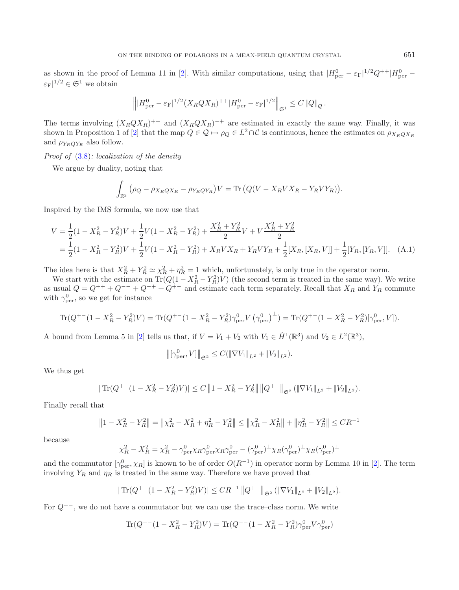as shown in the proof of Lemma 11 in [\[2\]](#page-26-1). With similar computations, using that  $|H_{\text{per}}^0 - \varepsilon_F|^{1/2} Q^{++}| H_{\text{per}}^0 -$ <br> $\epsilon_1^{1/2} \epsilon \ll 1$  we obtain  $\varepsilon_{\rm F}|^{1/2} \in \mathfrak{S}^1$  we obtain

<span id="page-22-0"></span>
$$
\left\| |H_{\text{per}}^0 - \varepsilon_{\text{F}}|^{1/2} (X_R Q X_R)^{++} |H_{\text{per}}^0 - \varepsilon_{\text{F}}|^{1/2} \right\|_{\mathfrak{S}^1} \leq C \left\| Q \right\|_{\mathcal{Q}}.
$$

The terms involving  $(X_RQX_R)^{++}$  and  $(X_RQX_R)^{-+}$  are estimated in exactly the same way. Finally, it was shown in Proposition 1 of [\[2\]](#page-26-1) that the map  $Q \in \mathcal{Q} \mapsto \rho_Q \in L^2 \cap \mathcal{C}$  is continuous, hence the estimates on  $\rho_{X_RQX_R}$ and  $\rho_{Y_RQY_R}$  also follow.

*Proof of* [\(3.8\)](#page-9-2)*: localization of the density*

We argue by duality, noting that

$$
\int_{\mathbb{R}^3} (\rho_Q - \rho_{X_RQX_R} - \rho_{Y_RQY_R})V = \text{Tr} (Q(V - X_RVX_R - Y_RVY_R)).
$$

Inspired by the IMS formula, we now use that

$$
V = \frac{1}{2}(1 - X_R^2 - Y_R^2)V + \frac{1}{2}V(1 - X_R^2 - Y_R^2) + \frac{X_R^2 + Y_R^2}{2}V + V\frac{X_R^2 + Y_R^2}{2}
$$
  
=  $\frac{1}{2}(1 - X_R^2 - Y_R^2)V + \frac{1}{2}V(1 - X_R^2 - Y_R^2) + X_RVX_R + Y_RVY_R + \frac{1}{2}[X_R, [X_R, V]] + \frac{1}{2}[Y_R, [Y_R, V]].$  (A.1)

The idea here is that  $X_R^2 + Y_R^2 \simeq \chi_R^2 + \eta_R^2 = 1$  which, unfortunately, is only true in the operator norm.<br>We start with the estimate on  $Tr(O(1 - X^2 - V^2)V)$  (the second term is treated in the same way).

We start with the estimate on  $\text{Tr}(Q(1 - X_R^2 - Y_R^2)V)$  (the second term is treated in the same way). We write<br>usual  $Q = Q^{++} + Q^{--} + Q^{++} + Q^{+-}$  and estimate each term separately. Becall that  $X_R$  and  $Y_R$  commute as usual  $Q = Q^{++} + Q^{--} + Q^{++} + Q^{+-}$  and estimate each term separately. Recall that  $X_R$  and  $Y_R$  commute with  $\gamma_{\text{per}}^0$ , so we get for instance

$$
\text{Tr}(Q^{+-}(1-X_R^2-Y_R^2)V) = \text{Tr}(Q^{+-}(1-X_R^2-Y_R^2)\gamma_{\text{per}}^0V(\gamma_{\text{per}}^0)^{\perp}) = \text{Tr}(Q^{+-}(1-X_R^2-Y_R^2)[\gamma_{\text{per}}^0,V]).
$$

A bound from Lemma 5 in [\[2](#page-26-1)] tells us that, if  $V = V_1 + V_2$  with  $V_1 \in \dot{H}^1(\mathbb{R}^3)$  and  $V_2 \in L^2(\mathbb{R}^3)$ ,

$$
\left\| [\gamma_{\text{per}}^0, V] \right\|_{\mathfrak{S}^2} \leq C \left( \left\| \nabla V_1 \right\|_{L^2} + \left\| V_2 \right\|_{L^2} \right).
$$

We thus get

$$
|\operatorname{Tr}(Q^{+-}(1-X_R^2-Y_R^2)V)| \le C \left\|1-X_R^2-Y_R^2\right\| \left\|Q^{+-}\right\|_{\mathfrak{S}^2} (\left\|\nabla V_1\right\|_{L^2} + \left\|V_2\right\|_{L^2}).
$$

Finally recall that

$$
||1 - X_R^2 - Y_R^2|| = ||x_R^2 - X_R^2 + \eta_R^2 - Y_R^2|| \le ||x_R^2 - X_R^2|| + ||\eta_R^2 - Y_R^2|| \le CR^{-1}
$$

because

$$
\chi^2_R-X^2_R=\chi^2_R-\gamma^0_{\rm per}\chi_R\gamma^0_{\rm per}\chi_R\gamma^0_{\rm per}- (\gamma^0_{\rm per})^\perp\chi_R(\gamma^0_{\rm per})^\perp\chi_R(\gamma^0_{\rm per})^\perp
$$

and the commutator  $[\gamma_{per}^0, \chi_R]$  is known to be of order  $O(R^{-1})$  in operator norm by Lemma 10 in [\[2](#page-26-1)]. The term<br>involving  $V_{\rm D}$  and  $v_{\rm D}$  is treated in the same way. Therefore we have proved that involving  $Y_R$  and  $\eta_R$  is treated in the same way. Therefore we have proved that

$$
|\operatorname{Tr}(Q^{+-}(1-X_R^2-Y_R^2)V)| \leq CR^{-1} ||Q^{+-}||_{\mathfrak{S}^2} (||\nabla V_1||_{L^2} + ||V_2||_{L^2}).
$$

For  $Q^{--}$ , we do not have a commutator but we can use the trace–class norm. We write

$$
\text{Tr}(Q^{--}(1 - X_R^2 - Y_R^2)V) = \text{Tr}(Q^{--}(1 - X_R^2 - Y_R^2)\gamma_{\text{per}}^0 V \gamma_{\text{per}}^0)
$$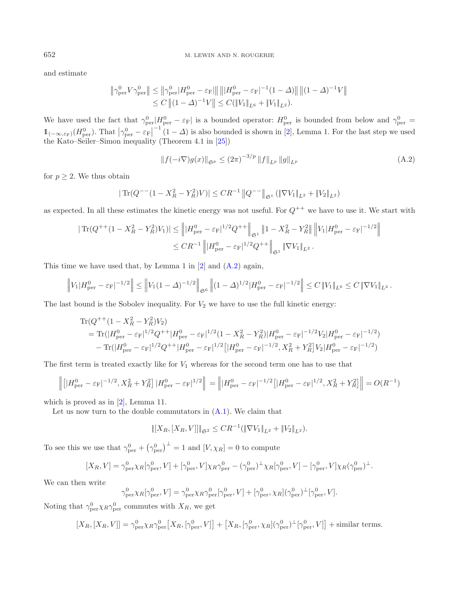and estimate

<span id="page-23-0"></span>
$$
\|\gamma_{\text{per}}^0 V \gamma_{\text{per}}^0 \| \leq \|\gamma_{\text{per}}^0 | H_{\text{per}}^0 - \varepsilon_{\text{F}} \| \| \| H_{\text{per}}^0 - \varepsilon_{\text{F}}^{-1} (1 - \Delta) \| \| (1 - \Delta)^{-1} V \|
$$
  

$$
\leq C \| (1 - \Delta)^{-1} V \| \leq C ( \| V_1 \|_{L^6} + \| V_1 \|_{L^2} ).
$$

We have used the fact that  $\gamma_{\text{per}}^0 | H_{\text{per}}^0 - \varepsilon_F |$  is a bounded operator:  $H_{\text{per}}^0$  is bounded from below and  $\gamma_{\text{per}}^0 =$  $1_{(-\infty, \varepsilon_F)} (H_{\text{per}}^0)$ . That  $|\gamma_{\text{per}}^0 - \varepsilon_F|$ <br>the Kato–Seiler–Simon inequality  $\mathbb{1}_{(-\infty,\varepsilon_{\mathrm{F}})}(H_{\mathrm{per}}^0)$ . That  $|\gamma_{\mathrm{per}}^0 - \varepsilon_{\mathrm{F}}|^{-1} (1 - \Delta)$  is also bounded is shown in [\[2](#page-26-1)], Lemma 1. For the last step we used the Kato–Seiler–Simon inequality (Theorem 4.1 in [\[25](#page-27-19)])

$$
||f(-i\nabla)g(x)||_{\mathfrak{S}^p} \le (2\pi)^{-3/p} ||f||_{L^p} ||g||_{L^p}
$$
\n(A.2)

for  $p \geq 2$ . We thus obtain

$$
|\operatorname{Tr}(Q^{--}(1-X_R^2-Y_R^2)V)| \leq CR^{-1} ||Q^{--}||_{\mathfrak{S}^1} (|\nabla V_1||_{L^2} + ||V_2||_{L^2})
$$

as expected. In all these estimates the kinetic energy was not useful. For  $Q^{++}$  we have to use it. We start with

$$
|\operatorname{Tr}(Q^{++}(1-X_R^2-Y_R^2)V_1)| \leq ||H_{\text{per}}^0 - \varepsilon_{\text{F}}|^{1/2}Q^{++}||_{\mathfrak{S}^1} ||1-X_R^2 - Y_R^2|| ||V_1|H_{\text{per}}^0 - \varepsilon_{\text{F}}|^{-1/2}||
$$
  

$$
\leq CR^{-1} ||H_{\text{per}}^0 - \varepsilon_{\text{F}}|^{1/2}Q^{++}||_{\mathfrak{S}^1} ||\nabla V_1||_{L^2}.
$$

This time we have used that, by Lemma 1 in  $[2]$  $[2]$  and  $(A.2)$  again,

$$
\left\|V_1|H_{\text{per}}^0 - \varepsilon_{\text{F}}|^{-1/2}\right\| \le \left\|V_1(1-\Delta)^{-1/2}\right\|_{\mathfrak{S}^6} \left\|(1-\Delta)^{1/2}|H_{\text{per}}^0 - \varepsilon_{\text{F}}|^{-1/2}\right\| \le C\left\|V_1\right\|_{L^6} \le C\left\|\nabla V_1\right\|_{L^2}.
$$

The last bound is the Sobolev inequality. For  $V_2$  we have to use the full kinetic energy:

$$
\begin{split} \text{Tr}(Q^{++}(1-X_R^2-Y_R^2)V_2) \\ &= \text{Tr}(|H_{\text{per}}^0 - \varepsilon_{\text{F}}|^{1/2}Q^{++}|H_{\text{per}}^0 - \varepsilon_{\text{F}}|^{1/2}(1-X_R^2-Y_R^2)|H_{\text{per}}^0 - \varepsilon_{\text{F}}|^{-1/2}V_2|H_{\text{per}}^0 - \varepsilon_{\text{F}}|^{-1/2}) \\ &- \text{Tr}(|H_{\text{per}}^0 - \varepsilon_{\text{F}}|^{1/2}Q^{++}|H_{\text{per}}^0 - \varepsilon_{\text{F}}|^{1/2}\left[|H_{\text{per}}^0 - \varepsilon_{\text{F}}|^{-1/2}, X_R^2 + Y_R^2\right]V_2|H_{\text{per}}^0 - \varepsilon_{\text{F}}|^{-1/2}) \end{split}
$$

The first term is treated exactly like for  $V_1$  whereas for the second term one has to use that

$$
\left\| \left[ |H_{\text{per}}^0 - \varepsilon_{\text{F}}|^{-1/2}, X_R^2 + Y_R^2 \right] |H_{\text{per}}^0 - \varepsilon_{\text{F}}|^{1/2} \right\| = \left\| |H_{\text{per}}^0 - \varepsilon_{\text{F}}|^{-1/2} \left[ |H_{\text{per}}^0 - \varepsilon_{\text{F}}|^{1/2}, X_R^2 + Y_R^2 \right] \right\| = O(R^{-1})
$$

which is proved as in [\[2](#page-26-1)], Lemma 11.

Let us now turn to the double commutators in [\(A.1\)](#page-22-0). We claim that

$$
||[X_R,[X_R,V]]||_{\mathfrak{S}^2} \leq CR^{-1} (||\nabla V_1||_{L^2} + ||V_2||_{L^2}).
$$

To see this we use that  $\gamma_{\text{per}}^0 + (\gamma_{\text{per}}^0)^{\perp} = 1$  and  $[V, \chi_R] = 0$  to compute

$$
[X_R, V] = \gamma_{\text{per}}^0 \chi_R [\gamma_{\text{per}}^0, V] + [\gamma_{\text{per}}^0, V] \chi_R \gamma_{\text{per}}^0 - (\gamma_{\text{per}}^0)^\perp \chi_R [\gamma_{\text{per}}^0, V] - [\gamma_{\text{per}}^0, V] \chi_R (\gamma_{\text{per}}^0)^\perp.
$$

We can then write

$$
\gamma_{\text{per}}^0 \chi_R [\gamma_{\text{per}}^0, V] = \gamma_{\text{per}}^0 \chi_R \gamma_{\text{per}}^0 [\gamma_{\text{per}}^0, V] + [\gamma_{\text{per}}^0, \chi_R] (\gamma_{\text{per}}^0)^\perp [\gamma_{\text{per}}^0, V].
$$

Noting that  $\gamma_{\text{per}}^0 \chi_R \gamma_{\text{per}}^0$  commutes with  $X_R$ , we get

$$
[X_R, [X_R, V]] = \gamma_{\text{per}}^0 \chi_R \gamma_{\text{per}}^0 \big[ X_R, [\gamma_{\text{per}}^0, V] \big] + [X_R, [\gamma_{\text{per}}^0, \chi_R] (\gamma_{\text{per}}^0)^\perp [\gamma_{\text{per}}^0, V] \big] + \text{similar terms.}
$$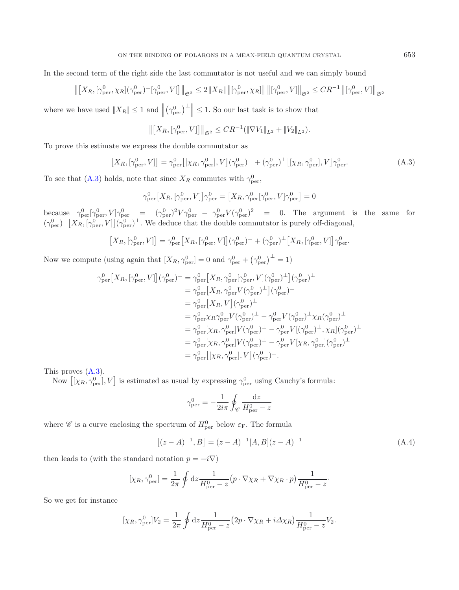In the second term of the right side the last commutator is not useful and we can simply bound

$$
\left\| \left[ X_R, [\gamma_{\text{per}}^0, \chi_R] (\gamma_{\text{per}}^0)^\perp [\gamma_{\text{per}}^0, V] \right] \right\|_{\mathfrak{S}^2} \leq 2 \left\| X_R \right\| \left\| [\gamma_{\text{per}}^0, \chi_R] \right\| \left\| [\gamma_{\text{per}}^0, V] \right\|_{\mathfrak{S}^2} \leq C R^{-1} \left\| [\gamma_{\text{per}}^0, V] \right\|_{\mathfrak{S}^2}
$$

where we have used  $||X_R|| \leq 1$  and  $||(\gamma_{\text{per}}^0)^{\perp}|| \leq 1$ . So our last task is to show that

<span id="page-24-0"></span>
$$
\left\| \left[ X_R, \left[ \gamma_{\text{per}}^0, V \right] \right] \right\|_{\mathfrak{S}^2} \leq C R^{-1} \left( \|\nabla V_1\|_{L^2} + \|V_2\|_{L^2} \right).
$$

To prove this estimate we express the double commutator as

$$
\left[X_R, \left[\gamma_{\text{per}}^0, V\right]\right] = \gamma_{\text{per}}^0 \left[\left[\chi_R, \gamma_{\text{per}}^0\right], V\right] \left(\gamma_{\text{per}}^0\right)^\perp + \left(\gamma_{\text{per}}^0\right)^\perp \left[\left[\chi_R, \gamma_{\text{per}}^0\right], V\right] \gamma_{\text{per}}^0. \tag{A.3}
$$

To see that [\(A.3\)](#page-24-0) holds, note that since  $X_R$  commutes with  $\gamma_{\text{per}}^0$ ,

$$
\gamma_{\text{per}}^0 \big[ X_R , [\gamma_{\text{per}}^0 , V] \big] \gamma_{\text{per}}^0 = \big[ X_R , \gamma_{\text{per}}^0 [\gamma_{\text{per}}^0 , V] \gamma_{\text{per}}^0 \big] = 0
$$

because  $\gamma_{\text{per}}^0/\gamma_{\text{per}}^0/V$   $\gamma_{\text{per}}^0 = (\gamma_{\text{per}}^0)^2 V \gamma_{\text{per}}^0 - \gamma_{\text{per}}^0 V (\gamma_{\text{per}}^0)^2 = 0$ . The argument is the same for  $(\gamma_{\text{per}}^0)^{\perp} [X_R, [\gamma_{\text{per}}^0, V]] (\gamma_{\text{per}}^0)^{\perp}$ . We deduce that the double commutator is purely off-diagonal,

$$
\left[X_R, \left[\gamma_\text{per}^0, V\right]\right] = \gamma_\text{per}^0 \left[X_R, \left[\gamma_\text{per}^0, V\right]\right] \left(\gamma_\text{per}^0\right)^\perp + \left(\gamma_\text{per}^0\right)^\perp \left[X_R, \left[\gamma_\text{per}^0, V\right]\right] \gamma_\text{per}^0.
$$

Now we compute (using again that  $[X_R, \gamma_{\text{per}}^0] = 0$  and  $\gamma_{\text{per}}^0 + (\gamma_{\text{per}}^0)^{\perp} = 1$ )

$$
\gamma_{\text{per}}^{0}\left[X_{R},\left[\gamma_{\text{per}}^{0},V\right]\right](\gamma_{\text{per}}^{0})^{\perp} = \gamma_{\text{per}}^{0}\left[X_{R},\gamma_{\text{per}}^{0}[\gamma_{\text{per}}^{0},V](\gamma_{\text{per}}^{0})^{\perp}\right](\gamma_{\text{per}}^{0})^{\perp} \n= \gamma_{\text{per}}^{0}\left[X_{R},\gamma_{\text{per}}^{0}V(\gamma_{\text{per}}^{0})^{\perp}\right](\gamma_{\text{per}}^{0})^{\perp} \n= \gamma_{\text{per}}^{0}\left[X_{R},V\right](\gamma_{\text{per}}^{0})^{\perp} \n= \gamma_{\text{per}}^{0}\left[X_{R},V\right](\gamma_{\text{per}}^{0})^{\perp} \n= \gamma_{\text{per}}^{0}\left[X_{R},V\right](\gamma_{\text{per}}^{0})^{\perp} - \gamma_{\text{per}}^{0}V(\gamma_{\text{per}}^{0})^{\perp}\left[X_{R}(\gamma_{\text{per}}^{0})^{\perp}\right] \n= \gamma_{\text{per}}^{0}\left[X_{R},\gamma_{\text{per}}^{0}\right]V(\gamma_{\text{per}}^{0})^{\perp} - \gamma_{\text{per}}^{0}V\left[(\gamma_{\text{per}}^{0})^{\perp},X_{R}](\gamma_{\text{per}}^{0})^{\perp} \n= \gamma_{\text{per}}^{0}\left[X_{R},\gamma_{\text{per}}^{0}\right]V(\gamma_{\text{per}}^{0})^{\perp} - \gamma_{\text{per}}^{0}V\left[X_{R},\gamma_{\text{per}}^{0}\right](\gamma_{\text{per}}^{0})^{\perp} \n= \gamma_{\text{per}}^{0}\left[[\chi_{R},\gamma_{\text{per}}^{0}],V\right](\gamma_{\text{per}}^{0})^{\perp}.
$$

This proves [\(A.3\)](#page-24-0).

Now  $[(\chi_R, \gamma_{\text{per}}^0], V]$  is estimated as usual by expressing  $\gamma_{\text{per}}^0$  using Cauchy's formula:

<span id="page-24-1"></span>
$$
\gamma_{\text{per}}^0 = -\frac{1}{2i\pi} \oint_{\mathscr{C}} \frac{\mathrm{d}z}{H_{\text{per}}^0 - z}
$$

where  $\mathscr{C}$  is a curve enclosing the spectrum of  $H_{\text{per}}^0$  below  $\varepsilon_{\text{F}}$ . The formula

$$
[(z-A)^{-1},B] = (z-A)^{-1}[A,B](z-A)^{-1}
$$
\n(A.4)

then leads to (with the standard notation  $p = -i\nabla$ )

$$
[\chi_R, \gamma_{\text{per}}^0] = \frac{1}{2\pi} \oint dz \frac{1}{H_{\text{per}}^0 - z} \left( p \cdot \nabla \chi_R + \nabla \chi_R \cdot p \right) \frac{1}{H_{\text{per}}^0 - z}.
$$

So we get for instance

$$
[\chi_R, \gamma_{\text{per}}^0]V_2 = \frac{1}{2\pi} \oint dz \frac{1}{H_{\text{per}}^0 - z} (2p \cdot \nabla \chi_R + i \Delta \chi_R) \frac{1}{H_{\text{per}}^0 - z} V_2.
$$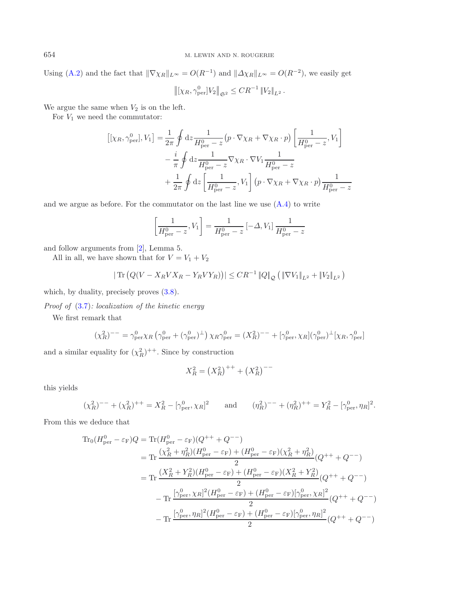Using [\(A.2\)](#page-23-0) and the fact that  $\|\nabla \chi_R\|_{L^\infty} = O(R^{-1})$  and  $\|\Delta \chi_R\|_{L^\infty} = O(R^{-2})$ , we easily get  $\left\| \left[ \chi_R, \gamma_{\rm per}^0 \right] V_2 \right\|_{\mathfrak{S}^2} \leq C R^{-1} \left\| V_2 \right\|_{L^2}.$ 

We argue the same when  $V_2$  is on the left.

For  $V_1$  we need the commutator:

$$
\begin{aligned}\n\left[ [\chi_R, \gamma_{\text{per}}^0], V_1 \right] &= \frac{1}{2\pi} \oint \mathrm{d}z \frac{1}{H_{\text{per}}^0 - z} \left( p \cdot \nabla \chi_R + \nabla \chi_R \cdot p \right) \left[ \frac{1}{H_{\text{per}}^0 - z}, V_1 \right] \\
&\quad - \frac{i}{\pi} \oint \mathrm{d}z \frac{1}{H_{\text{per}}^0 - z} \nabla \chi_R \cdot \nabla V_1 \frac{1}{H_{\text{per}}^0 - z} \\
&\quad + \frac{1}{2\pi} \oint \mathrm{d}z \left[ \frac{1}{H_{\text{per}}^0 - z}, V_1 \right] \left( p \cdot \nabla \chi_R + \nabla \chi_R \cdot p \right) \frac{1}{H_{\text{per}}^0 - z}\n\end{aligned}
$$

and we argue as before. For the commutator on the last line we use [\(A.4\)](#page-24-1) to write

$$
\left[\frac{1}{H_{\text{per}}^0 - z}, V_1\right] = \frac{1}{H_{\text{per}}^0 - z} \left[-\Delta, V_1\right] \frac{1}{H_{\text{per}}^0 - z}
$$

and follow arguments from [\[2\]](#page-26-1), Lemma 5.

All in all, we have shown that for  $V = V_1 + V_2$ 

$$
|\operatorname{Tr}(Q(V - X_R V X_R - Y_R V Y_R))| \leq C R^{-1} ||Q||_{\mathcal{Q}} (||\nabla V_1||_{L^2} + ||V_2||_{L^2})
$$

which, by duality, precisely proves  $(3.8)$ .

*Proof of* [\(3.7\)](#page-9-1)*: localization of the kinetic energy*

We first remark that

$$
(\chi_R^2)^{--} = \gamma_{\text{per}}^0 \chi_R \left( \gamma_{\text{per}}^0 + (\gamma_{\text{per}}^0)^{\perp} \right) \chi_R \gamma_{\text{per}}^0 = (X_R^2)^{--} + [\gamma_{\text{per}}^0, \chi_R] (\gamma_{\text{per}}^0)^{\perp} [\chi_R, \gamma_{\text{per}}^0]
$$

and a similar equality for  $(\chi_R^2)^{++}$ . Since by construction

$$
X_R^2 = (X_R^2)^{++} + (X_R^2)^{--}
$$

this yields

$$
(\chi_R^2)^{--} + (\chi_R^2)^{++} = X_R^2 - [\gamma_{\text{per}}^0, \chi_R]^2 \quad \text{and} \quad (\eta_R^2)^{--} + (\eta_R^2)^{++} = Y_R^2 - [\gamma_{\text{per}}^0, \eta_R]^2.
$$

From this we deduce that

$$
\begin{split} \text{Tr}_{0}(H_{\text{per}}^{0}-\varepsilon_{\text{F}})Q &= \text{Tr}(H_{\text{per}}^{0}-\varepsilon_{\text{F}})(Q^{++}+Q^{--}) \\ &= \text{Tr}\,\frac{(\chi_{R}^{2}+\eta_{R}^{2})(H_{\text{per}}^{0}-\varepsilon_{\text{F}})+(H_{\text{per}}^{0}-\varepsilon_{\text{F}})(\chi_{R}^{2}+\eta_{R}^{2})}{2}(Q^{++}+Q^{--}) \\ &= \text{Tr}\,\frac{(X_{R}^{2}+Y_{R}^{2})(H_{\text{per}}^{0}-\varepsilon_{\text{F}})+(H_{\text{per}}^{0}-\varepsilon_{\text{F}})(X_{R}^{2}+Y_{R}^{2})}{2}(Q^{++}+Q^{--}) \\ &- \text{Tr}\,\frac{[\gamma_{\text{per}}^{0},\chi_{R}]^{2}(H_{\text{per}}^{0}-\varepsilon_{\text{F}})+(H_{\text{per}}^{0}-\varepsilon_{\text{F}})[\gamma_{\text{per}}^{0},\chi_{R}]^{2}}{2}(Q^{++}+Q^{--}) \\ &- \text{Tr}\,\frac{[\gamma_{\text{per}}^{0},\eta_{R}]^{2}(H_{\text{per}}^{0}-\varepsilon_{\text{F}})+(H_{\text{per}}^{0}-\varepsilon_{\text{F}})[\gamma_{\text{per}}^{0},\eta_{R}]^{2}}{2}(Q^{++}+Q^{--}) \end{split}
$$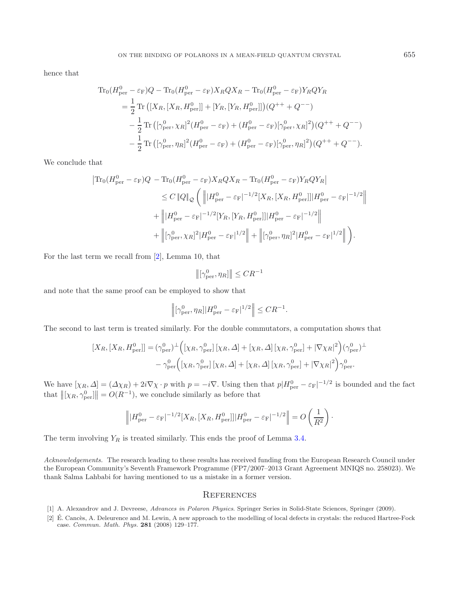hence that

$$
\begin{split} \text{Tr}_{0}(H_{\text{per}}^{0}-\varepsilon_{\text{F}})Q - \text{Tr}_{0}(H_{\text{per}}^{0}-\varepsilon_{\text{F}})X_{R}QX_{R} - \text{Tr}_{0}(H_{\text{per}}^{0}-\varepsilon_{\text{F}})Y_{R}QY_{R} \\ & = \frac{1}{2} \text{Tr}\left([X_{R},[X_{R},H_{\text{per}}^{0}]]+[Y_{R},[Y_{R},H_{\text{per}}^{0}]]\right)(Q^{++}+Q^{--}) \\ & - \frac{1}{2} \text{Tr}\left([ \gamma_{\text{per}}^{0},\chi_{R}]^{2}(H_{\text{per}}^{0}-\varepsilon_{\text{F}})+(H_{\text{per}}^{0}-\varepsilon_{\text{F}})[\gamma_{\text{per}}^{0},\chi_{R}]^{2}\right)(Q^{++}+Q^{--}) \\ & - \frac{1}{2} \text{Tr}\left([ \gamma_{\text{per}}^{0},\eta_{R}]^{2}(H_{\text{per}}^{0}-\varepsilon_{\text{F}})+(H_{\text{per}}^{0}-\varepsilon_{\text{F}})[\gamma_{\text{per}}^{0},\eta_{R}]^{2}\right)(Q^{++}+Q^{--}). \end{split}
$$

We conclude that

$$
\begin{split} \left| \text{Tr}_0 (H_{\text{per}}^0 - \varepsilon_{\text{F}}) Q \right| &- \text{Tr}_0 (H_{\text{per}}^0 - \varepsilon_{\text{F}}) X_R Q X_R - \text{Tr}_0 (H_{\text{per}}^0 - \varepsilon_{\text{F}}) Y_R Q Y_R \right| \\ &\leq C \left\| Q \right\|_{\mathcal{Q}} \left( \left\| |H_{\text{per}}^0 - \varepsilon_{\text{F}}|^{-1/2} [X_R, [X_R, H_{\text{per}}^0]] | H_{\text{per}}^0 - \varepsilon_{\text{F}}|^{-1/2} \right\| \\ &+ \left\| |H_{\text{per}}^0 - \varepsilon_{\text{F}}|^{-1/2} [Y_R, [Y_R, H_{\text{per}}^0]] | H_{\text{per}}^0 - \varepsilon_{\text{F}}|^{-1/2} \right\| \\ &+ \left\| |\gamma_{\text{per}}^0, \chi_R|^2 | H_{\text{per}}^0 - \varepsilon_{\text{F}}|^{1/2} \right\| + \left\| |\gamma_{\text{per}}^0, \eta_R|^2 | H_{\text{per}}^0 - \varepsilon_{\text{F}}|^{1/2} \right\| \right). \end{split}
$$

For the last term we recall from [\[2](#page-26-1)], Lemma 10, that

$$
\left\| \left[ \gamma_{\text{per}}^0, \eta_R \right] \right\| \le C R^{-1}
$$

and note that the same proof can be employed to show that

$$
\left\| [\gamma_{\text{per}}^0, \eta_R] | H_{\text{per}}^0 - \varepsilon_{\text{F}} |^{1/2} \right\| \le C R^{-1}.
$$

The second to last term is treated similarly. For the double commutators, a computation shows that

$$
[X_R, [X_R, H_{\text{per}}^0]] = (\gamma_{\text{per}}^0)^{\perp} \Big( [\chi_R, \gamma_{\text{per}}^0] [\chi_R, \Delta] + [\chi_R, \Delta] [\chi_R, \gamma_{\text{per}}^0] + |\nabla \chi_R|^2 \Big) (\gamma_{\text{per}}^0)^{\perp} - \gamma_{\text{per}}^0 \Big( [\chi_R, \gamma_{\text{per}}^0] [\chi_R, \Delta] + [\chi_R, \Delta] [\chi_R, \gamma_{\text{per}}^0] + |\nabla \chi_R|^2 \Big) \gamma_{\text{per}}^0.
$$

We have  $[\chi_R, \Delta] = (\Delta \chi_R) + 2i\nabla \chi \cdot p$  with  $p = -i\nabla$ . Using then that  $p|H_{\text{per}}^0 - \varepsilon_F|^{-1/2}$  is bounded and the fact that  $\left\| \left[ \chi_R, \gamma_{\text{per}}^0 \right] \right\| = O(R^{-1}),$  we conclude similarly as before that

$$
\left\| |H_{\text{per}}^0 - \varepsilon_{\text{F}}|^{-1/2} [X_R, [X_R, H_{\text{per}}^0]] | H_{\text{per}}^0 - \varepsilon_{\text{F}}|^{-1/2} \right\| = O\left(\frac{1}{R^2}\right).
$$

The term involving  $Y_R$  is treated similarly. This ends the proof of Lemma [3.4.](#page-9-4)

*Acknowledgements.* The research leading to these results has received funding from the European Research Council under the European Community's Seventh Framework Programme (FP7/2007–2013 Grant Agreement MNIQS no. 258023). We thank Salma Lahbabi for having mentioned to us a mistake in a former version.

# **REFERENCES**

- <span id="page-26-0"></span>[1] A. Alexandrov and J. Devreese, *Advances in Polaron Physics*. Springer Series in Solid-State Sciences, Springer (2009).
- <span id="page-26-1"></span>[2] É. Cancès, A. Deleurence and M. Lewin, A new approach to the modelling of local defects in crystals: the reduced Hartree-Fock case. *Commun. Math. Phys.* **281** (2008) 129–177.